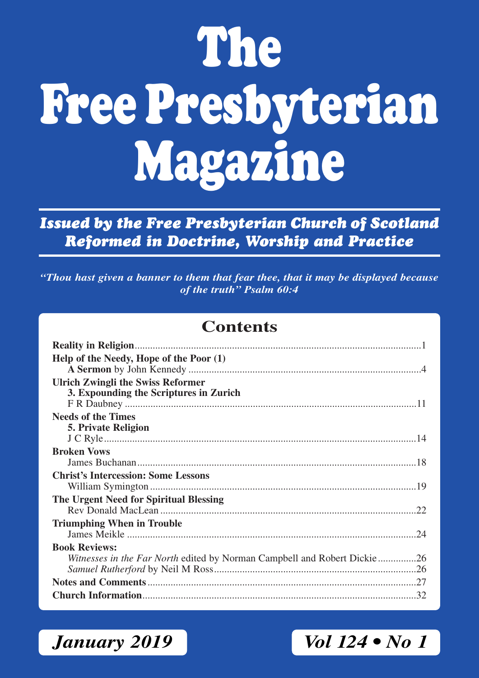# **The Free Presbyterian Magazine**

*Issued by the Free Presbyterian Church of Scotland Reformed in Doctrine, Worship and Practice*

*"Thou hast given a banner to them that fear thee, that it may be displayed because of the truth" Psalm 60:4*

### **Contents**

| Help of the Needy, Hope of the Poor (1)                                          |
|----------------------------------------------------------------------------------|
| <b>Ulrich Zwingli the Swiss Reformer</b>                                         |
| 3. Expounding the Scriptures in Zurich                                           |
|                                                                                  |
| <b>Needs of the Times</b>                                                        |
| <b>5. Private Religion</b>                                                       |
|                                                                                  |
| <b>Broken Vows</b>                                                               |
|                                                                                  |
| <b>Christ's Intercession: Some Lessons</b>                                       |
|                                                                                  |
| The Urgent Need for Spiritual Blessing                                           |
|                                                                                  |
| <b>Triumphing When in Trouble</b>                                                |
|                                                                                  |
| <b>Book Reviews:</b>                                                             |
| <i>Witnesses in the Far North</i> edited by Norman Campbell and Robert Dickie 26 |
|                                                                                  |
|                                                                                  |
|                                                                                  |

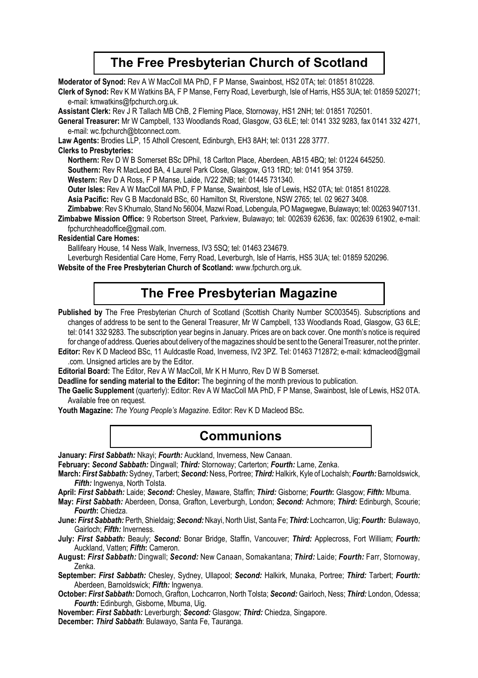### **The Free Presbyterian Church of Scotland**

**Moderator of Synod:** Rev A W MacColl MA PhD, F P Manse, Swainbost, HS2 0TA; tel: 01851 810228.

**Clerk of Synod:** Rev K M Watkins BA, F P Manse, Ferry Road, Leverburgh, Isle of Harris, HS5 3UA; tel: 01859 520271; e-mail: kmwatkins@fpchurch.org.uk.

**Assistant Clerk:** Rev J R Tallach MB ChB, 2 Fleming Place, Stornoway, HS1 2NH; tel: 01851 702501.

**General Treasurer:** Mr W Campbell, 133 Woodlands Road, Glasgow, G3 6LE; tel: 0141 332 9283, fax 0141 332 4271, e-mail: wc.fpchurch@btconnect.com.

**Law Agents:** Brodies LLP, 15 Atholl Crescent, Edinburgh, EH3 8AH; tel: 0131 228 3777.

#### **Clerks to Presbyteries:**

**Northern:** Rev D W B Somerset BSc DPhil, 18 Carlton Place, Aberdeen, AB15 4BQ; tel: 01224 645250.

**Southern:** Rev R MacLeod BA, 4 Laurel Park Close, Glasgow, G13 1RD; tel: 0141 954 3759.

**Western:** Rev D A Ross, F P Manse, Laide, IV22 2NB; tel: 01445 731340.

**Outer lsles:** Rev A W MacColl MA PhD, F P Manse, Swainbost, Isle of Lewis, HS2 0TA; tel: 01851 810228.

**Asia Pacific:** Rev G B Macdonald BSc, 60 Hamilton St, Riverstone, NSW 2765; tel. 02 9627 3408.

**Zimbabwe**: Rev S Khumalo, Stand No 56004, Mazwi Road, Lobengula, PO Magwegwe, Bulawayo; tel: 00263 9407131.

**Zimbabwe Mission Office:** 9 Robertson Street, Parkview, Bulawayo; tel: 002639 62636, fax: 002639 61902, e-mail: fpchurchheadoffice@gmail.com.

#### **Residential Care Homes:**

Ballifeary House, 14 Ness Walk, Inverness, IV3 5SQ; tel: 01463 234679.

Leverburgh Residential Care Home, Ferry Road, Leverburgh, Isle of Harris, HS5 3UA; tel: 01859 520296.

**Website of the Free Presbyterian Church of Scotland:** www.fpchurch.org.uk.

### **The Free Presbyterian Magazine**

Published by The Free Presbyterian Church of Scotland (Scottish Charity Number SC003545). Subscriptions and changes of address to be sent to the General Treasurer, Mr W Campbell, 133 Woodlands Road, Glasgow, G3 6LE; tel: 0141 332 9283. The subscription year begins in January. Prices are on back cover. One month's notice is required for change of address. Queries about delivery of the magazines should be sent to the General Treasurer, not the printer.

**Editor:** Rev K D Macleod BSc, 11 Auldcastle Road, Inverness, IV2 3PZ. Tel: 01463 712872; e-mail: kdmacleod@gmail .com. Unsigned articles are by the Editor.

**Editorial Board:** The Editor, Rev A W MacColl, Mr K H Munro, Rev D W B Somerset.

**Deadline for sending material to the Editor:** The beginning of the month previous to publication.

**The Gaelic Supplement** (quarterly): Editor: Rev A W MacColl MA PhD, F P Manse, Swainbost, Isle of Lewis, HS2 0TA. Available free on request.

**Youth Magazine:** *The Young People's Magazine*. Editor: Rev K D Macleod BSc.

### **Communions**

**January:** *First Sabbath:* Nkayi; *Fourth:* Auckland, Inverness, New Canaan.

**February:** *Second Sabbath:* Dingwall; *Third:* Stornoway; Carterton; *Fourth:* Larne, Zenka.

- **March:** *First Sabbath:* Sydney, Tarbert; *Second:* Ness, Portree; *Third:* Halkirk, Kyle of Lochalsh; *Fourth:* Barnoldswick, *Fifth:* Ingwenya, North Tolsta.
- **April:** *First Sabbath:* Laide; *Second:* Chesley, Maware, Staffin; *Third:* Gisborne; *Fourth***:** Glasgow; *Fifth:* Mbuma.

**May:** *First Sabbath:* Aberdeen, Donsa, Grafton, Leverburgh, London; *Second:* Achmore; *Third:* Edinburgh, Scourie; *Fourth***:** Chiedza.

**June:** *First Sabbath:* Perth, Shieldaig; *Second:* Nkayi, North Uist, Santa Fe; *Third:* Lochcarron, Uig; *Fourth:* Bulawayo, Gairloch; *Fifth:* Inverness.

**July:** *First Sabbath:* Beauly; *Second:* Bonar Bridge, Staffin, Vancouver; *Third:* Applecross, Fort William; *Fourth:* Auckland, Vatten; *Fifth***:** Cameron.

**August:** *First Sabbath:* Dingwall; *Second:* New Canaan, Somakantana; *Third:* Laide; *Fourth:* Farr, Stornoway, Zenka.

**September:** *First Sabbath:* Chesley, Sydney, Ullapool; *Second:* Halkirk, Munaka, Portree; *Third:* Tarbert; *Fourth:* Aberdeen, Barnoldswick; *Fifth:* Ingwenya.

**October:** *First Sabbath:* Dornoch, Grafton, Lochcarron, North Tolsta; *Second:* Gairloch, Ness; *Third:* London, Odessa; *Fourth:* Edinburgh, Gisborne, Mbuma, Uig.

**November:** *First Sabbath:* Leverburgh; *Second:* Glasgow; *Third:* Chiedza, Singapore.

**December:** *Third Sabbath*: Bulawayo, Santa Fe, Tauranga.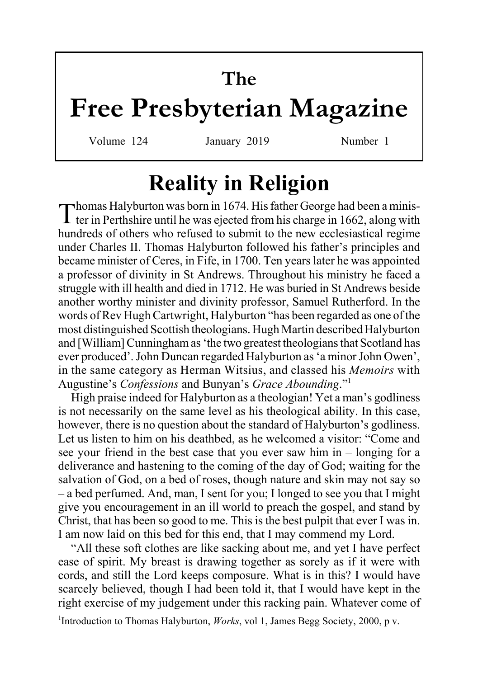# **The**

# **Free Presbyterian Magazine**

Volume 124 January 2019 Number 1

# **Reality in Religion**

Thomas Halyburton was born in 1674. His father George had been a minister in Perthshire until he was ejected from his charge in 1662, along with hundreds of others who refused to submit to the new ecclesiastical regime under Charles II. Thomas Halyburton followed his father's principles and became minister of Ceres, in Fife, in 1700. Ten years later he was appointed a professor of divinity in St Andrews. Throughout his ministry he faced a struggle with ill health and died in 1712. He was buried in St Andrews beside another worthy minister and divinity professor, Samuel Rutherford. In the words of Rev Hugh Cartwright, Halyburton "has been regarded as one of the most distinguished Scottish theologians. Hugh Martin described Halyburton and [William] Cunningham as 'the two greatest theologians that Scotland has ever produced'. John Duncan regarded Halyburton as 'a minor John Owen', in the same category as Herman Witsius, and classed his *Memoirs* with Augustine's *Confessions* and Bunyan's *Grace Abounding*."1

High praise indeed for Halyburton as a theologian! Yet a man's godliness is not necessarily on the same level as his theological ability. In this case, however, there is no question about the standard of Halyburton's godliness. Let us listen to him on his deathbed, as he welcomed a visitor: "Come and see your friend in the best case that you ever saw him in – longing for a deliverance and hastening to the coming of the day of God; waiting for the salvation of God, on a bed of roses, though nature and skin may not say so – a bed perfumed. And, man, I sent for you; I longed to see you that I might give you encouragement in an ill world to preach the gospel, and stand by Christ, that has been so good to me. This is the best pulpit that ever I was in. I am now laid on this bed for this end, that I may commend my Lord.

"All these soft clothes are like sacking about me, and yet I have perfect ease of spirit. My breast is drawing together as sorely as if it were with cords, and still the Lord keeps composure. What is in this? I would have scarcely believed, though I had been told it, that I would have kept in the right exercise of my judgement under this racking pain. Whatever come of

<sup>1</sup>Introduction to Thomas Halyburton, *Works*, vol 1, James Begg Society, 2000, p v.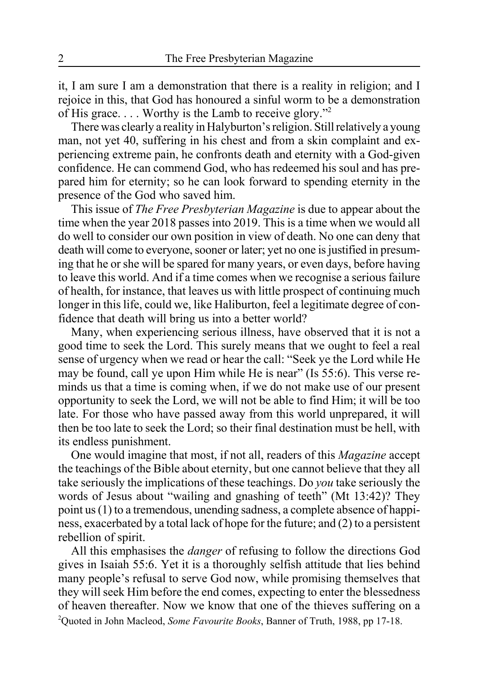it, I am sure I am a demonstration that there is a reality in religion; and I rejoice in this, that God has honoured a sinful worm to be a demonstration of His grace. . . . Worthy is the Lamb to receive glory."2

There was clearly a reality in Halyburton's religion. Still relatively a young man, not yet 40, suffering in his chest and from a skin complaint and experiencing extreme pain, he confronts death and eternity with a God-given confidence. He can commend God, who has redeemed his soul and has prepared him for eternity; so he can look forward to spending eternity in the presence of the God who saved him.

This issue of *The Free Presbyterian Magazine* is due to appear about the time when the year 2018 passes into 2019. This is a time when we would all do well to consider our own position in view of death. No one can deny that death will come to everyone, sooner or later; yet no one is justified in presuming that he or she will be spared for many years, or even days, before having to leave this world. And if a time comes when we recognise a serious failure of health, for instance, that leaves us with little prospect of continuing much longer in this life, could we, like Haliburton, feel a legitimate degree of confidence that death will bring us into a better world?

Many, when experiencing serious illness, have observed that it is not a good time to seek the Lord. This surely means that we ought to feel a real sense of urgency when we read or hear the call: "Seek ye the Lord while He may be found, call ye upon Him while He is near" (Is 55:6). This verse reminds us that a time is coming when, if we do not make use of our present opportunity to seek the Lord, we will not be able to find Him; it will be too late. For those who have passed away from this world unprepared, it will then be too late to seek the Lord; so their final destination must be hell, with its endless punishment.

One would imagine that most, if not all, readers of this *Magazine* accept the teachings of the Bible about eternity, but one cannot believe that they all take seriously the implications of these teachings. Do *you* take seriously the words of Jesus about "wailing and gnashing of teeth" (Mt 13:42)? They point us (1) to a tremendous, unending sadness, a complete absence of happiness, exacerbated by a total lack of hope for the future; and (2) to a persistent rebellion of spirit.

All this emphasises the *danger* of refusing to follow the directions God gives in Isaiah 55:6. Yet it is a thoroughly selfish attitude that lies behind many people's refusal to serve God now, while promising themselves that they will seek Him before the end comes, expecting to enter the blessedness of heaven thereafter. Now we know that one of the thieves suffering on a 2 Quoted in John Macleod, *Some Favourite Books*, Banner of Truth, 1988, pp 17-18.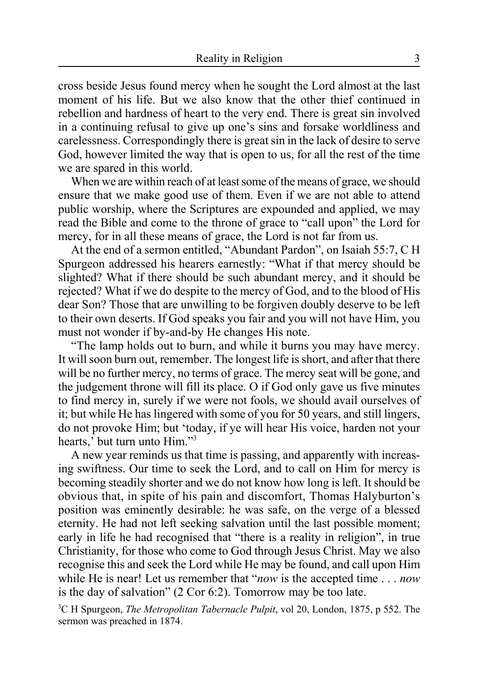cross beside Jesus found mercy when he sought the Lord almost at the last moment of his life. But we also know that the other thief continued in rebellion and hardness of heart to the very end. There is great sin involved in a continuing refusal to give up one's sins and forsake worldliness and carelessness. Correspondingly there is great sin in the lack of desire to serve God, however limited the way that is open to us, for all the rest of the time we are spared in this world.

When we are within reach of at least some of the means of grace, we should ensure that we make good use of them. Even if we are not able to attend public worship, where the Scriptures are expounded and applied, we may read the Bible and come to the throne of grace to "call upon" the Lord for mercy, for in all these means of grace, the Lord is not far from us.

At the end of a sermon entitled, "Abundant Pardon", on Isaiah 55:7, C H Spurgeon addressed his hearers earnestly: "What if that mercy should be slighted? What if there should be such abundant mercy, and it should be rejected? What if we do despite to the mercy of God, and to the blood of His dear Son? Those that are unwilling to be forgiven doubly deserve to be left to their own deserts. If God speaks you fair and you will not have Him, you must not wonder if by-and-by He changes His note.

"The lamp holds out to burn, and while it burns you may have mercy. It will soon burn out, remember. The longest life is short, and after that there will be no further mercy, no terms of grace. The mercy seat will be gone, and the judgement throne will fill its place. O if God only gave us five minutes to find mercy in, surely if we were not fools, we should avail ourselves of it; but while He has lingered with some of you for 50 years, and still lingers, do not provoke Him; but 'today, if ye will hear His voice, harden not your hearts,' but turn unto Him."<sup>3</sup>

A new year reminds us that time is passing, and apparently with increasing swiftness. Our time to seek the Lord, and to call on Him for mercy is becoming steadily shorter and we do not know how long is left. It should be obvious that, in spite of his pain and discomfort, Thomas Halyburton's position was eminently desirable: he was safe, on the verge of a blessed eternity. He had not left seeking salvation until the last possible moment; early in life he had recognised that "there is a reality in religion", in true Christianity, for those who come to God through Jesus Christ. May we also recognise this and seek the Lord while He may be found, and call upon Him while He is near! Let us remember that "*now* is the accepted time . . . *now* is the day of salvation" (2 Cor 6:2). Tomorrow may be too late.

3 C H Spurgeon, *The Metropolitan Tabernacle Pulpit*, vol 20, London, 1875, p 552. The sermon was preached in 1874.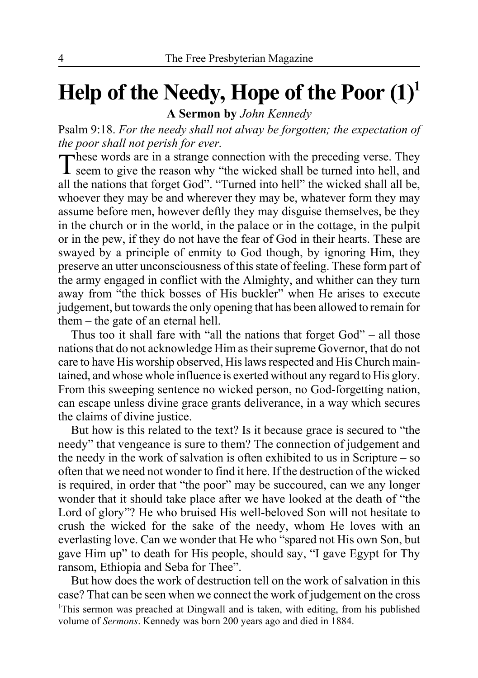# **Help of the Needy, Hope of the Poor (1)1**

**A Sermon by** *John Kennedy*

Psalm 9:18. *For the needy shall not alway be forgotten; the expectation of the poor shall not perish for ever.*<br>These words are in a strange connection with the preceding verse. They

These words are in a strange connection with the preceding verse. They seem to give the reason why "the wicked shall be turned into hell, and all the nations that forget God". "Turned into hell" the wicked shall all be, whoever they may be and wherever they may be, whatever form they may assume before men, however deftly they may disguise themselves, be they in the church or in the world, in the palace or in the cottage, in the pulpit or in the pew, if they do not have the fear of God in their hearts. These are swayed by a principle of enmity to God though, by ignoring Him, they preserve an utter unconsciousness of this state of feeling. These form part of the army engaged in conflict with the Almighty, and whither can they turn away from "the thick bosses of His buckler" when He arises to execute judgement, but towards the only opening that has been allowed to remain for them – the gate of an eternal hell.

Thus too it shall fare with "all the nations that forget God" – all those nations that do not acknowledge Him as their supreme Governor, that do not care to have His worship observed, His laws respected and His Church maintained, and whose whole influence is exerted without any regard to His glory. From this sweeping sentence no wicked person, no God-forgetting nation, can escape unless divine grace grants deliverance, in a way which secures the claims of divine justice.

But how is this related to the text? Is it because grace is secured to "the needy" that vengeance is sure to them? The connection of judgement and the needy in the work of salvation is often exhibited to us in Scripture – so often that we need not wonder to find it here. If the destruction of the wicked is required, in order that "the poor" may be succoured, can we any longer wonder that it should take place after we have looked at the death of "the Lord of glory"? He who bruised His well-beloved Son will not hesitate to crush the wicked for the sake of the needy, whom He loves with an everlasting love. Can we wonder that He who "spared not His own Son, but gave Him up" to death for His people, should say, "I gave Egypt for Thy ransom, Ethiopia and Seba for Thee".

But how does the work of destruction tell on the work of salvation in this case? That can be seen when we connect the work of judgement on the cross <sup>1</sup>This sermon was preached at Dingwall and is taken, with editing, from his published volume of *Sermons*. Kennedy was born 200 years ago and died in 1884.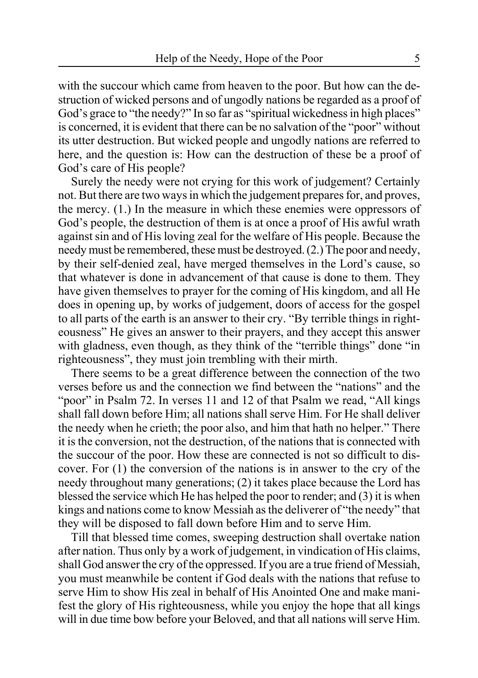with the succour which came from heaven to the poor. But how can the destruction of wicked persons and of ungodly nations be regarded as a proof of God's grace to "the needy?" In so far as "spiritual wickedness in high places" is concerned, it is evident that there can be no salvation of the "poor" without its utter destruction. But wicked people and ungodly nations are referred to here, and the question is: How can the destruction of these be a proof of God's care of His people?

Surely the needy were not crying for this work of judgement? Certainly not. But there are two ways in which the judgement prepares for, and proves, the mercy. (1.) In the measure in which these enemies were oppressors of God's people, the destruction of them is at once a proof of His awful wrath against sin and of His loving zeal for the welfare of His people. Because the needy must be remembered, these must be destroyed. (2.) The poor and needy, by their self-denied zeal, have merged themselves in the Lord's cause, so that whatever is done in advancement of that cause is done to them. They have given themselves to prayer for the coming of His kingdom, and all He does in opening up, by works of judgement, doors of access for the gospel to all parts of the earth is an answer to their cry. "By terrible things in righteousness" He gives an answer to their prayers, and they accept this answer with gladness, even though, as they think of the "terrible things" done "in righteousness", they must join trembling with their mirth.

There seems to be a great difference between the connection of the two verses before us and the connection we find between the "nations" and the "poor" in Psalm 72. In verses 11 and 12 of that Psalm we read, "All kings" shall fall down before Him; all nations shall serve Him. For He shall deliver the needy when he crieth; the poor also, and him that hath no helper." There it is the conversion, not the destruction, of the nations that is connected with the succour of the poor. How these are connected is not so difficult to discover. For (1) the conversion of the nations is in answer to the cry of the needy throughout many generations; (2) it takes place because the Lord has blessed the service which He has helped the poor to render; and (3) it is when kings and nations come to know Messiah as the deliverer of "the needy" that they will be disposed to fall down before Him and to serve Him.

Till that blessed time comes, sweeping destruction shall overtake nation after nation. Thus only by a work of judgement, in vindication of His claims, shall God answer the cry of the oppressed. If you are a true friend of Messiah, you must meanwhile be content if God deals with the nations that refuse to serve Him to show His zeal in behalf of His Anointed One and make manifest the glory of His righteousness, while you enjoy the hope that all kings will in due time bow before your Beloved, and that all nations will serve Him.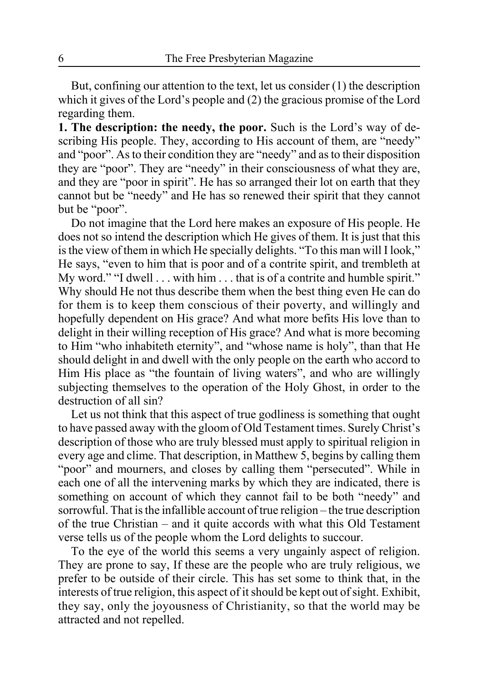But, confining our attention to the text, let us consider (1) the description which it gives of the Lord's people and (2) the gracious promise of the Lord regarding them.

**1. The description: the needy, the poor.** Such is the Lord's way of describing His people. They, according to His account of them, are "needy" and "poor". As to their condition they are "needy" and as to their disposition they are "poor". They are "needy" in their consciousness of what they are, and they are "poor in spirit". He has so arranged their lot on earth that they cannot but be "needy" and He has so renewed their spirit that they cannot but be "poor".

Do not imagine that the Lord here makes an exposure of His people. He does not so intend the description which He gives of them. It is just that this is the view of them in which He specially delights. "To this man will I look," He says, "even to him that is poor and of a contrite spirit, and trembleth at My word." "I dwell . . . with him . . . that is of a contrite and humble spirit." Why should He not thus describe them when the best thing even He can do for them is to keep them conscious of their poverty, and willingly and hopefully dependent on His grace? And what more befits His love than to delight in their willing reception of His grace? And what is more becoming to Him "who inhabiteth eternity", and "whose name is holy", than that He should delight in and dwell with the only people on the earth who accord to Him His place as "the fountain of living waters", and who are willingly subjecting themselves to the operation of the Holy Ghost, in order to the destruction of all sin?

Let us not think that this aspect of true godliness is something that ought to have passed away with the gloom of Old Testament times. Surely Christ's description of those who are truly blessed must apply to spiritual religion in every age and clime. That description, in Matthew 5, begins by calling them "poor" and mourners, and closes by calling them "persecuted". While in each one of all the intervening marks by which they are indicated, there is something on account of which they cannot fail to be both "needy" and sorrowful. That is the infallible account of true religion – the true description of the true Christian – and it quite accords with what this Old Testament verse tells us of the people whom the Lord delights to succour.

To the eye of the world this seems a very ungainly aspect of religion. They are prone to say, If these are the people who are truly religious, we prefer to be outside of their circle. This has set some to think that, in the interests of true religion, this aspect of it should be kept out of sight. Exhibit, they say, only the joyousness of Christianity, so that the world may be attracted and not repelled.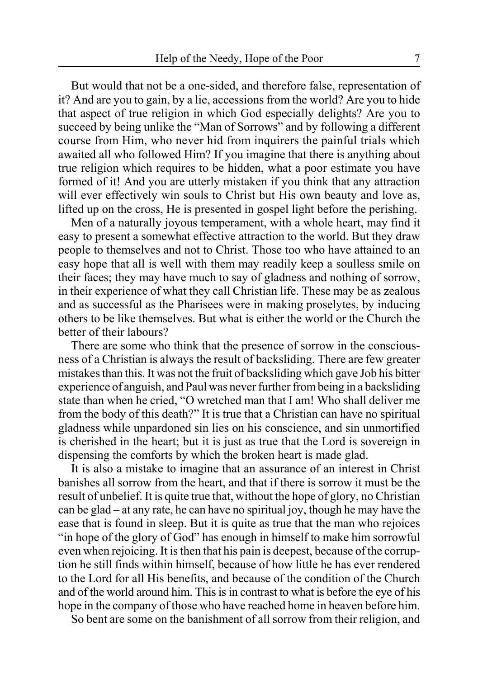But would that not be a one-sided, and therefore false, representation of it? And are you to gain, by a lie, accessions from the world? Are you to hide that aspect of true religion in which God especially delights? Are you to succeed by being unlike the "Man of Sorrows" and by following a different course from Him, who never hid from inquirers the painful trials which awaited all who followed Him? If you imagine that there is anything about true religion which requires to be hidden, what a poor estimate you have formed of it! And you are utterly mistaken if you think that any attraction will ever effectively win souls to Christ but His own beauty and love as, lifted up on the cross, He is presented in gospel light before the perishing.

Men of a naturally joyous temperament, with a whole heart, may find it easy to present a somewhat effective attraction to the world. But they draw people to themselves and not to Christ. Those too who have attained to an easy hope that all is well with them may readily keep a soulless smile on their faces; they may have much to say of gladness and nothing of sorrow, in their experience of what they call Christian life. These may be as zealous and as successful as the Pharisees were in making proselytes, by inducing others to be like themselves. But what is either the world or the Church the better of their labours?

There are some who think that the presence of sorrow in the consciousness of a Christian is always the result of backsliding. There are few greater mistakes than this. It was not the fruit of backsliding which gave Job his bitter experience of anguish, and Paul was never further from being in a backsliding state than when he cried, "O wretched man that I am! Who shall deliver me from the body of this death?" It is true that a Christian can have no spiritual gladness while unpardoned sin lies on his conscience, and sin unmortified is cherished in the heart; but it is just as true that the Lord is sovereign in dispensing the comforts by which the broken heart is made glad.

It is also a mistake to imagine that an assurance of an interest in Christ banishes all sorrow from the heart, and that if there is sorrow it must be the result of unbelief. It is quite true that, without the hope of glory, no Christian can be glad – at any rate, he can have no spiritual joy, though he may have the ease that is found in sleep. But it is quite as true that the man who rejoices "in hope of the glory of God" has enough in himself to make him sorrowful even when rejoicing. It is then that his pain is deepest, because of the corruption he still finds within himself, because of how little he has ever rendered to the Lord for all His benefits, and because of the condition of the Church and of the world around him. This is in contrast to what is before the eye of his hope in the company of those who have reached home in heaven before him.

So bent are some on the banishment of all sorrow from their religion, and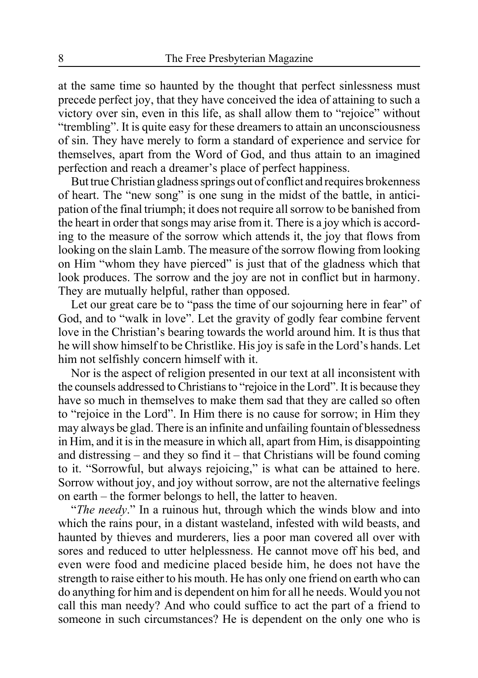at the same time so haunted by the thought that perfect sinlessness must precede perfect joy, that they have conceived the idea of attaining to such a victory over sin, even in this life, as shall allow them to "rejoice" without "trembling". It is quite easy for these dreamers to attain an unconsciousness of sin. They have merely to form a standard of experience and service for themselves, apart from the Word of God, and thus attain to an imagined perfection and reach a dreamer's place of perfect happiness.

But true Christian gladness springs out of conflict and requires brokenness of heart. The "new song" is one sung in the midst of the battle, in anticipation of the final triumph; it does not require all sorrow to be banished from the heart in order that songs may arise from it. There is a joy which is according to the measure of the sorrow which attends it, the joy that flows from looking on the slain Lamb. The measure of the sorrow flowing from looking on Him "whom they have pierced" is just that of the gladness which that look produces. The sorrow and the joy are not in conflict but in harmony. They are mutually helpful, rather than opposed.

Let our great care be to "pass the time of our sojourning here in fear" of God, and to "walk in love". Let the gravity of godly fear combine fervent love in the Christian's bearing towards the world around him. It is thus that he will show himself to be Christlike. His joy is safe in the Lord's hands. Let him not selfishly concern himself with it.

Nor is the aspect of religion presented in our text at all inconsistent with the counsels addressed to Christians to "rejoice in the Lord". It is because they have so much in themselves to make them sad that they are called so often to "rejoice in the Lord". In Him there is no cause for sorrow; in Him they may always be glad. There is an infinite and unfailing fountain of blessedness in Him, and it is in the measure in which all, apart from Him, is disappointing and distressing – and they so find it – that Christians will be found coming to it. "Sorrowful, but always rejoicing," is what can be attained to here. Sorrow without joy, and joy without sorrow, are not the alternative feelings on earth – the former belongs to hell, the latter to heaven.

"*The needy*." In a ruinous hut, through which the winds blow and into which the rains pour, in a distant wasteland, infested with wild beasts, and haunted by thieves and murderers, lies a poor man covered all over with sores and reduced to utter helplessness. He cannot move off his bed, and even were food and medicine placed beside him, he does not have the strength to raise either to his mouth. He has only one friend on earth who can do anything for him and is dependent on him for all he needs. Would you not call this man needy? And who could suffice to act the part of a friend to someone in such circumstances? He is dependent on the only one who is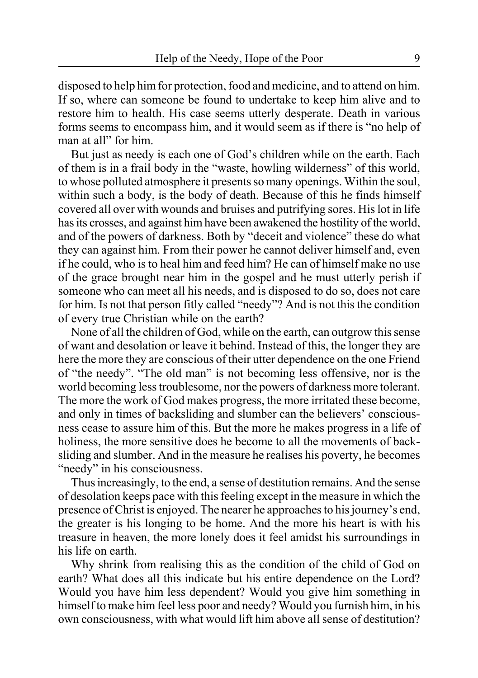disposed to help him for protection, food and medicine, and to attend on him. If so, where can someone be found to undertake to keep him alive and to restore him to health. His case seems utterly desperate. Death in various forms seems to encompass him, and it would seem as if there is "no help of man at all" for him.

But just as needy is each one of God's children while on the earth. Each of them is in a frail body in the "waste, howling wilderness" of this world, to whose polluted atmosphere it presents so many openings. Within the soul, within such a body, is the body of death. Because of this he finds himself covered all over with wounds and bruises and putrifying sores. His lot in life has its crosses, and against him have been awakened the hostility of the world, and of the powers of darkness. Both by "deceit and violence" these do what they can against him. From their power he cannot deliver himself and, even if he could, who is to heal him and feed him? He can of himself make no use of the grace brought near him in the gospel and he must utterly perish if someone who can meet all his needs, and is disposed to do so, does not care for him. Is not that person fitly called "needy"? And is not this the condition of every true Christian while on the earth?

None of all the children of God, while on the earth, can outgrow this sense of want and desolation or leave it behind. Instead of this, the longer they are here the more they are conscious of their utter dependence on the one Friend of "the needy". "The old man" is not becoming less offensive, nor is the world becoming less troublesome, nor the powers of darkness more tolerant. The more the work of God makes progress, the more irritated these become, and only in times of backsliding and slumber can the believers' consciousness cease to assure him of this. But the more he makes progress in a life of holiness, the more sensitive does he become to all the movements of backsliding and slumber. And in the measure he realises his poverty, he becomes "needy" in his consciousness.

Thus increasingly, to the end, a sense of destitution remains. And the sense of desolation keeps pace with this feeling except in the measure in which the presence of Christ is enjoyed. The nearer he approaches to his journey's end, the greater is his longing to be home. And the more his heart is with his treasure in heaven, the more lonely does it feel amidst his surroundings in his life on earth.

Why shrink from realising this as the condition of the child of God on earth? What does all this indicate but his entire dependence on the Lord? Would you have him less dependent? Would you give him something in himself to make him feel less poor and needy? Would you furnish him, in his own consciousness, with what would lift him above all sense of destitution?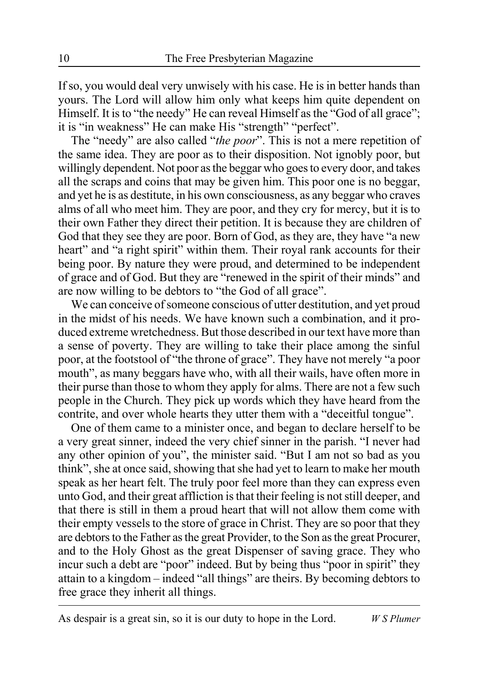If so, you would deal very unwisely with his case. He is in better hands than yours. The Lord will allow him only what keeps him quite dependent on Himself. It is to "the needy" He can reveal Himself as the "God of all grace"; it is "in weakness" He can make His "strength" "perfect".

The "needy" are also called "*the poor*". This is not a mere repetition of the same idea. They are poor as to their disposition. Not ignobly poor, but willingly dependent. Not poor as the beggar who goes to every door, and takes all the scraps and coins that may be given him. This poor one is no beggar, and yet he is as destitute, in his own consciousness, as any beggar who craves alms of all who meet him. They are poor, and they cry for mercy, but it is to their own Father they direct their petition. It is because they are children of God that they see they are poor. Born of God, as they are, they have "a new heart" and "a right spirit" within them. Their royal rank accounts for their being poor. By nature they were proud, and determined to be independent of grace and of God. But they are "renewed in the spirit of their minds" and are now willing to be debtors to "the God of all grace".

We can conceive of someone conscious of utter destitution, and yet proud in the midst of his needs. We have known such a combination, and it produced extreme wretchedness. But those described in our text have more than a sense of poverty. They are willing to take their place among the sinful poor, at the footstool of "the throne of grace". They have not merely "a poor mouth", as many beggars have who, with all their wails, have often more in their purse than those to whom they apply for alms. There are not a few such people in the Church. They pick up words which they have heard from the contrite, and over whole hearts they utter them with a "deceitful tongue".

One of them came to a minister once, and began to declare herself to be a very great sinner, indeed the very chief sinner in the parish. "I never had any other opinion of you", the minister said. "But I am not so bad as you think", she at once said, showing that she had yet to learn to make her mouth speak as her heart felt. The truly poor feel more than they can express even unto God, and their great affliction is that their feeling is not still deeper, and that there is still in them a proud heart that will not allow them come with their empty vessels to the store of grace in Christ. They are so poor that they are debtors to the Father as the great Provider, to the Son as the great Procurer, and to the Holy Ghost as the great Dispenser of saving grace. They who incur such a debt are "poor" indeed. But by being thus "poor in spirit" they attain to a kingdom – indeed "all things" are theirs. By becoming debtors to free grace they inherit all things.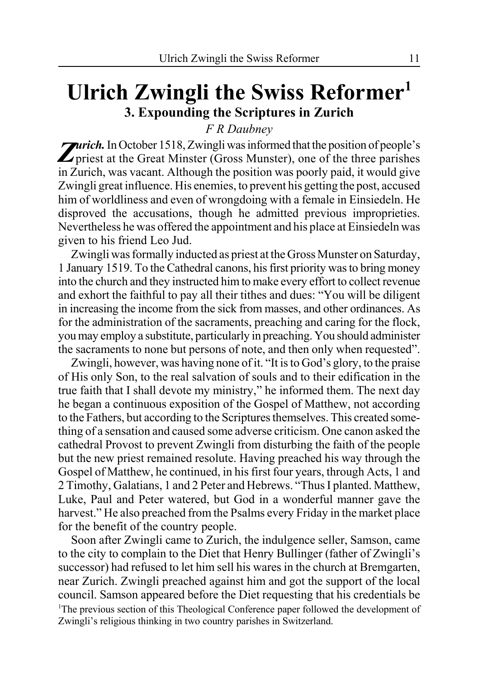### **Ulrich Zwingli the Swiss Reformer1 3. Expounding the Scriptures in Zurich**

*F R Daubney*

**Zurich.** In October 1518, Zwingli was informed that the position of people's priest at the Great Minster (Gross Munster), one of the three parishes in Zurich, was vacant. Although the position was poorly paid, it would give Zwingli great influence. His enemies, to prevent his getting the post, accused him of worldliness and even of wrongdoing with a female in Einsiedeln. He disproved the accusations, though he admitted previous improprieties. Nevertheless he was offered the appointment and his place at Einsiedeln was given to his friend Leo Jud.

Zwingli was formally inducted as priest at the Gross Munster on Saturday, 1 January 1519. To the Cathedral canons, his first priority was to bring money into the church and they instructed him to make every effort to collect revenue and exhort the faithful to pay all their tithes and dues: "You will be diligent in increasing the income from the sick from masses, and other ordinances. As for the administration of the sacraments, preaching and caring for the flock, you may employ a substitute, particularly in preaching. You should administer the sacraments to none but persons of note, and then only when requested".

Zwingli, however, was having none of it. "It is to God's glory, to the praise of His only Son, to the real salvation of souls and to their edification in the true faith that I shall devote my ministry," he informed them. The next day he began a continuous exposition of the Gospel of Matthew, not according to the Fathers, but according to the Scriptures themselves. This created something of a sensation and caused some adverse criticism. One canon asked the cathedral Provost to prevent Zwingli from disturbing the faith of the people but the new priest remained resolute. Having preached his way through the Gospel of Matthew, he continued, in his first four years, through Acts, 1 and 2 Timothy, Galatians, 1 and 2 Peter and Hebrews. "Thus I planted. Matthew, Luke, Paul and Peter watered, but God in a wonderful manner gave the harvest." He also preached from the Psalms every Friday in the market place for the benefit of the country people.

Soon after Zwingli came to Zurich, the indulgence seller, Samson, came to the city to complain to the Diet that Henry Bullinger (father of Zwingli's successor) had refused to let him sell his wares in the church at Bremgarten, near Zurich. Zwingli preached against him and got the support of the local council. Samson appeared before the Diet requesting that his credentials be <sup>1</sup>The previous section of this Theological Conference paper followed the development of Zwingli's religious thinking in two country parishes in Switzerland.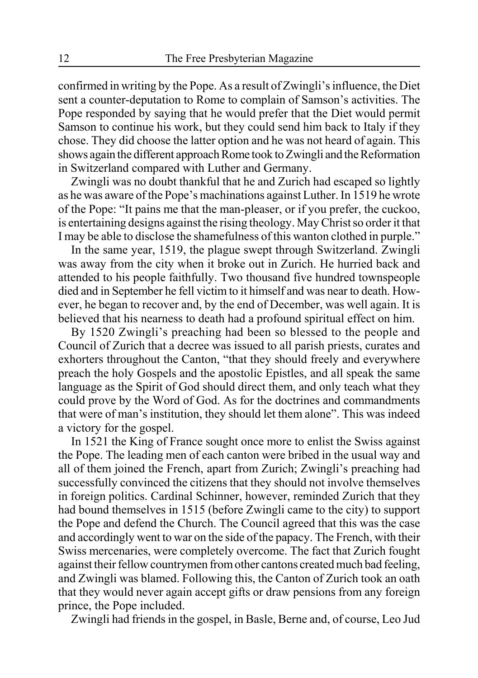confirmed in writing by the Pope. As a result of Zwingli's influence, the Diet sent a counter-deputation to Rome to complain of Samson's activities. The Pope responded by saying that he would prefer that the Diet would permit Samson to continue his work, but they could send him back to Italy if they chose. They did choose the latter option and he was not heard of again. This shows again the different approach Rome took to Zwingli and the Reformation in Switzerland compared with Luther and Germany.

Zwingli was no doubt thankful that he and Zurich had escaped so lightly as he was aware of the Pope's machinations against Luther. In 1519 he wrote of the Pope: "It pains me that the man-pleaser, or if you prefer, the cuckoo, is entertaining designs against the rising theology. May Christ so order it that I may be able to disclose the shamefulness of this wanton clothed in purple."

In the same year, 1519, the plague swept through Switzerland. Zwingli was away from the city when it broke out in Zurich. He hurried back and attended to his people faithfully. Two thousand five hundred townspeople died and in September he fell victim to it himself and was near to death. However, he began to recover and, by the end of December, was well again. It is believed that his nearness to death had a profound spiritual effect on him.

By 1520 Zwingli's preaching had been so blessed to the people and Council of Zurich that a decree was issued to all parish priests, curates and exhorters throughout the Canton, "that they should freely and everywhere preach the holy Gospels and the apostolic Epistles, and all speak the same language as the Spirit of God should direct them, and only teach what they could prove by the Word of God. As for the doctrines and commandments that were of man's institution, they should let them alone". This was indeed a victory for the gospel.

In 1521 the King of France sought once more to enlist the Swiss against the Pope. The leading men of each canton were bribed in the usual way and all of them joined the French, apart from Zurich; Zwingli's preaching had successfully convinced the citizens that they should not involve themselves in foreign politics. Cardinal Schinner, however, reminded Zurich that they had bound themselves in 1515 (before Zwingli came to the city) to support the Pope and defend the Church. The Council agreed that this was the case and accordingly went to war on the side of the papacy. The French, with their Swiss mercenaries, were completely overcome. The fact that Zurich fought against their fellow countrymen from other cantons created much bad feeling, and Zwingli was blamed. Following this, the Canton of Zurich took an oath that they would never again accept gifts or draw pensions from any foreign prince, the Pope included.

Zwingli had friends in the gospel, in Basle, Berne and, of course, Leo Jud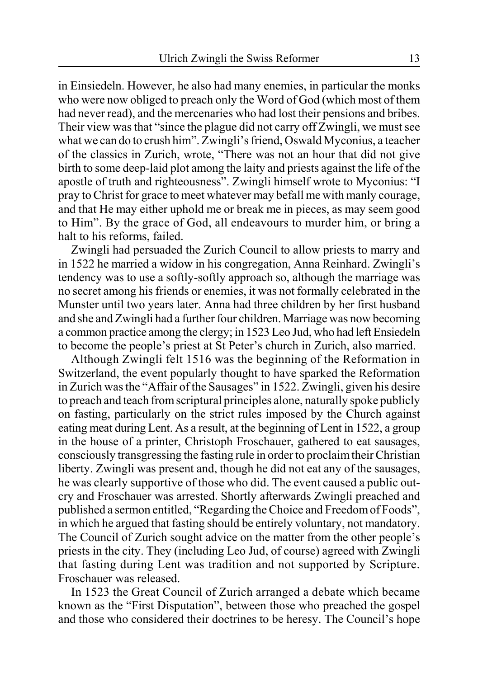in Einsiedeln. However, he also had many enemies, in particular the monks who were now obliged to preach only the Word of God (which most of them had never read), and the mercenaries who had lost their pensions and bribes. Their view was that "since the plague did not carry off Zwingli, we must see what we can do to crush him". Zwingli's friend, Oswald Myconius, a teacher of the classics in Zurich, wrote, "There was not an hour that did not give birth to some deep-laid plot among the laity and priests against the life of the apostle of truth and righteousness". Zwingli himself wrote to Myconius: "I pray to Christ for grace to meet whatever may befall me with manly courage, and that He may either uphold me or break me in pieces, as may seem good to Him". By the grace of God, all endeavours to murder him, or bring a halt to his reforms, failed.

Zwingli had persuaded the Zurich Council to allow priests to marry and in 1522 he married a widow in his congregation, Anna Reinhard. Zwingli's tendency was to use a softly-softly approach so, although the marriage was no secret among his friends or enemies, it was not formally celebrated in the Munster until two years later. Anna had three children by her first husband and she and Zwingli had a further four children. Marriage was now becoming a common practice among the clergy; in 1523 Leo Jud, who had left Ensiedeln to become the people's priest at St Peter's church in Zurich, also married.

Although Zwingli felt 1516 was the beginning of the Reformation in Switzerland, the event popularly thought to have sparked the Reformation in Zurich was the "Affair of the Sausages" in 1522. Zwingli, given his desire to preach and teach from scriptural principles alone, naturally spoke publicly on fasting, particularly on the strict rules imposed by the Church against eating meat during Lent. As a result, at the beginning of Lent in 1522, a group in the house of a printer, Christoph Froschauer, gathered to eat sausages, consciously transgressing the fasting rule in order to proclaim their Christian liberty. Zwingli was present and, though he did not eat any of the sausages, he was clearly supportive of those who did. The event caused a public outcry and Froschauer was arrested. Shortly afterwards Zwingli preached and published a sermon entitled, "Regarding the Choice and Freedom of Foods", in which he argued that fasting should be entirely voluntary, not mandatory. The Council of Zurich sought advice on the matter from the other people's priests in the city. They (including Leo Jud, of course) agreed with Zwingli that fasting during Lent was tradition and not supported by Scripture. Froschauer was released.

In 1523 the Great Council of Zurich arranged a debate which became known as the "First Disputation", between those who preached the gospel and those who considered their doctrines to be heresy. The Council's hope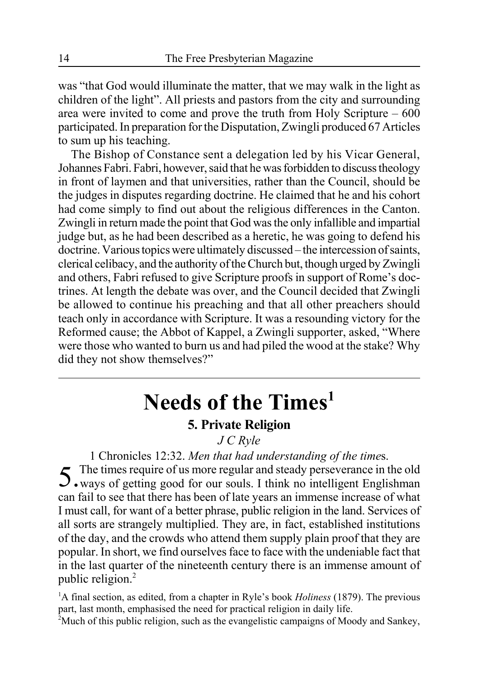was "that God would illuminate the matter, that we may walk in the light as children of the light". All priests and pastors from the city and surrounding area were invited to come and prove the truth from Holy Scripture – 600 participated. In preparation for the Disputation, Zwingli produced 67 Articles to sum up his teaching.

The Bishop of Constance sent a delegation led by his Vicar General, Johannes Fabri. Fabri, however, said that he was forbidden to discuss theology in front of laymen and that universities, rather than the Council, should be the judges in disputes regarding doctrine. He claimed that he and his cohort had come simply to find out about the religious differences in the Canton. Zwingli in return made the point that God was the only infallible and impartial judge but, as he had been described as a heretic, he was going to defend his doctrine. Various topics were ultimately discussed – the intercession of saints, clerical celibacy, and the authority of the Church but, though urged by Zwingli and others, Fabri refused to give Scripture proofs in support of Rome's doctrines. At length the debate was over, and the Council decided that Zwingli be allowed to continue his preaching and that all other preachers should teach only in accordance with Scripture. It was a resounding victory for the Reformed cause; the Abbot of Kappel, a Zwingli supporter, asked, "Where were those who wanted to burn us and had piled the wood at the stake? Why did they not show themselves?"

# **Needs of the Times1**

### **5. Private Religion**

### *J C Ryle*

1 Chronicles 12:32. *Men that had understanding of the time*s. 5.The times require of us more regular and steady perseverance in the old ways of getting good for our souls. I think no intelligent Englishman

can fail to see that there has been of late years an immense increase of what I must call, for want of a better phrase, public religion in the land. Services of all sorts are strangely multiplied. They are, in fact, established institutions of the day, and the crowds who attend them supply plain proof that they are popular. In short, we find ourselves face to face with the undeniable fact that in the last quarter of the nineteenth century there is an immense amount of public religion.<sup>2</sup>

<sup>1</sup>A final section, as edited, from a chapter in Ryle's book *Holiness* (1879). The previous part, last month, emphasised the need for practical religion in daily life.

<sup>2</sup>Much of this public religion, such as the evangelistic campaigns of Moody and Sankey,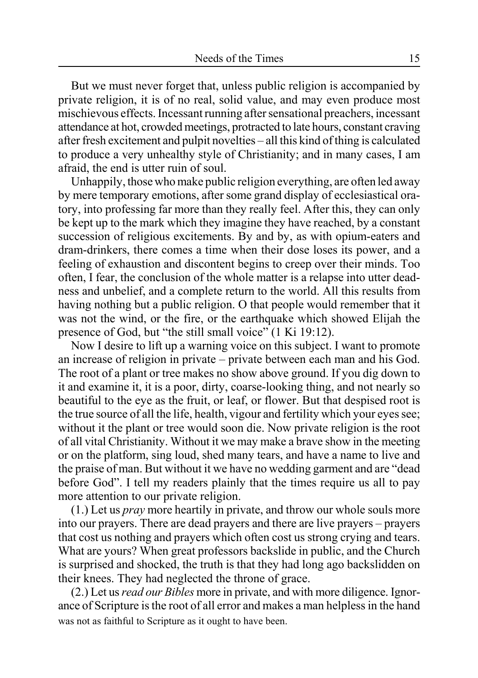But we must never forget that, unless public religion is accompanied by private religion, it is of no real, solid value, and may even produce most mischievous effects. Incessant running after sensational preachers, incessant attendance at hot, crowded meetings, protracted to late hours, constant craving after fresh excitement and pulpit novelties – all this kind of thing is calculated to produce a very unhealthy style of Christianity; and in many cases, I am afraid, the end is utter ruin of soul.

Unhappily, those who make public religion everything, are often led away by mere temporary emotions, after some grand display of ecclesiastical oratory, into professing far more than they really feel. After this, they can only be kept up to the mark which they imagine they have reached, by a constant succession of religious excitements. By and by, as with opium-eaters and dram-drinkers, there comes a time when their dose loses its power, and a feeling of exhaustion and discontent begins to creep over their minds. Too often, I fear, the conclusion of the whole matter is a relapse into utter deadness and unbelief, and a complete return to the world. All this results from having nothing but a public religion. O that people would remember that it was not the wind, or the fire, or the earthquake which showed Elijah the presence of God, but "the still small voice" (1 Ki 19:12).

Now I desire to lift up a warning voice on this subject. I want to promote an increase of religion in private – private between each man and his God. The root of a plant or tree makes no show above ground. If you dig down to it and examine it, it is a poor, dirty, coarse-looking thing, and not nearly so beautiful to the eye as the fruit, or leaf, or flower. But that despised root is the true source of all the life, health, vigour and fertility which your eyes see; without it the plant or tree would soon die. Now private religion is the root of all vital Christianity. Without it we may make a brave show in the meeting or on the platform, sing loud, shed many tears, and have a name to live and the praise of man. But without it we have no wedding garment and are "dead before God". I tell my readers plainly that the times require us all to pay more attention to our private religion.

(1.) Let us *pray* more heartily in private, and throw our whole souls more into our prayers. There are dead prayers and there are live prayers – prayers that cost us nothing and prayers which often cost us strong crying and tears. What are yours? When great professors backslide in public, and the Church is surprised and shocked, the truth is that they had long ago backslidden on their knees. They had neglected the throne of grace.

(2.) Let us *read our Bibles* more in private, and with more diligence. Ignorance of Scripture is the root of all error and makes a man helpless in the hand was not as faithful to Scripture as it ought to have been.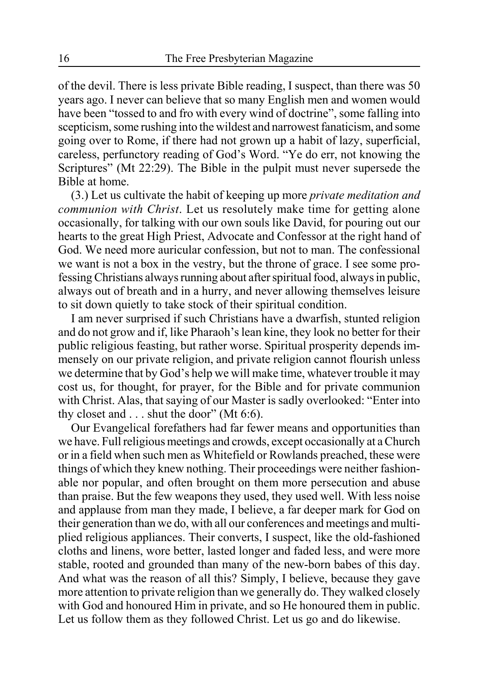of the devil. There is less private Bible reading, I suspect, than there was 50 years ago. I never can believe that so many English men and women would have been "tossed to and fro with every wind of doctrine", some falling into scepticism, some rushing into the wildest and narrowest fanaticism, and some going over to Rome, if there had not grown up a habit of lazy, superficial, careless, perfunctory reading of God's Word. "Ye do err, not knowing the Scriptures" (Mt 22:29). The Bible in the pulpit must never supersede the Bible at home.

(3.) Let us cultivate the habit of keeping up more *private meditation and communion with Christ*. Let us resolutely make time for getting alone occasionally, for talking with our own souls like David, for pouring out our hearts to the great High Priest, Advocate and Confessor at the right hand of God. We need more auricular confession, but not to man. The confessional we want is not a box in the vestry, but the throne of grace. I see some professing Christians always running about after spiritual food, always in public, always out of breath and in a hurry, and never allowing themselves leisure to sit down quietly to take stock of their spiritual condition.

I am never surprised if such Christians have a dwarfish, stunted religion and do not grow and if, like Pharaoh's lean kine, they look no better for their public religious feasting, but rather worse. Spiritual prosperity depends immensely on our private religion, and private religion cannot flourish unless we determine that by God's help we will make time, whatever trouble it may cost us, for thought, for prayer, for the Bible and for private communion with Christ. Alas, that saying of our Master is sadly overlooked: "Enter into thy closet and . . . shut the door" (Mt 6:6).

Our Evangelical forefathers had far fewer means and opportunities than we have. Full religious meetings and crowds, except occasionally at a Church or in a field when such men as Whitefield or Rowlands preached, these were things of which they knew nothing. Their proceedings were neither fashionable nor popular, and often brought on them more persecution and abuse than praise. But the few weapons they used, they used well. With less noise and applause from man they made, I believe, a far deeper mark for God on their generation than we do, with all our conferences and meetings and multiplied religious appliances. Their converts, I suspect, like the old-fashioned cloths and linens, wore better, lasted longer and faded less, and were more stable, rooted and grounded than many of the new-born babes of this day. And what was the reason of all this? Simply, I believe, because they gave more attention to private religion than we generally do. They walked closely with God and honoured Him in private, and so He honoured them in public. Let us follow them as they followed Christ. Let us go and do likewise.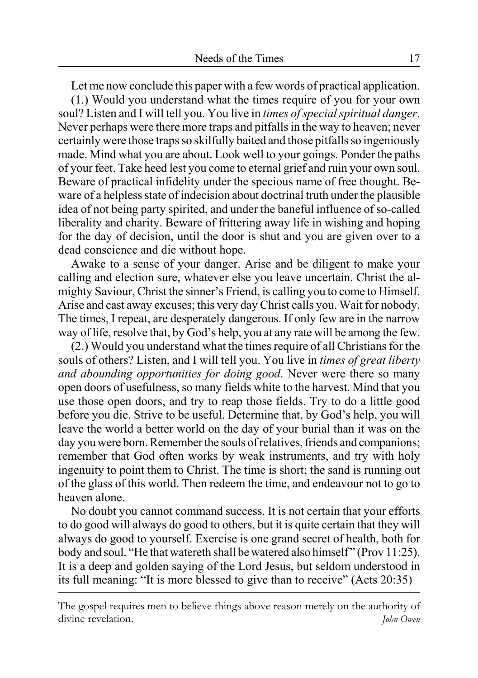Let me now conclude this paper with a few words of practical application. (1.) Would you understand what the times require of you for your own soul? Listen and I will tell you. You live in *times of special spiritual danger*. Never perhaps were there more traps and pitfalls in the way to heaven; never certainly were those traps so skilfully baited and those pitfalls so ingeniously made. Mind what you are about. Look well to your goings. Ponder the paths of your feet. Take heed lest you come to eternal grief and ruin your own soul. Beware of practical infidelity under the specious name of free thought. Beware of a helpless state of indecision about doctrinal truth under the plausible idea of not being party spirited, and under the baneful influence of so-called liberality and charity. Beware of frittering away life in wishing and hoping for the day of decision, until the door is shut and you are given over to a dead conscience and die without hope.

Awake to a sense of your danger. Arise and be diligent to make your calling and election sure, whatever else you leave uncertain. Christ the almighty Saviour, Christ the sinner's Friend, is calling you to come to Himself. Arise and cast away excuses; this very day Christ calls you. Wait for nobody. The times, I repeat, are desperately dangerous. If only few are in the narrow way of life, resolve that, by God's help, you at any rate will be among the few.

(2.) Would you understand what the times require of all Christians for the souls of others? Listen, and I will tell you. You live in *times of great liberty and abounding opportunities for doing good*. Never were there so many open doors of usefulness, so many fields white to the harvest. Mind that you use those open doors, and try to reap those fields. Try to do a little good before you die. Strive to be useful. Determine that, by God's help, you will leave the world a better world on the day of your burial than it was on the day you were born. Remember the souls of relatives, friends and companions; remember that God often works by weak instruments, and try with holy ingenuity to point them to Christ. The time is short; the sand is running out of the glass of this world. Then redeem the time, and endeavour not to go to heaven alone.

No doubt you cannot command success. It is not certain that your efforts to do good will always do good to others, but it is quite certain that they will always do good to yourself. Exercise is one grand secret of health, both for body and soul. "He that watereth shall be watered also himself" (Prov 11:25). It is a deep and golden saying of the Lord Jesus, but seldom understood in its full meaning: "It is more blessed to give than to receive" (Acts 20:35)

The gospel requires men to believe things above reason merely on the authority of divine revelation. *John Owen*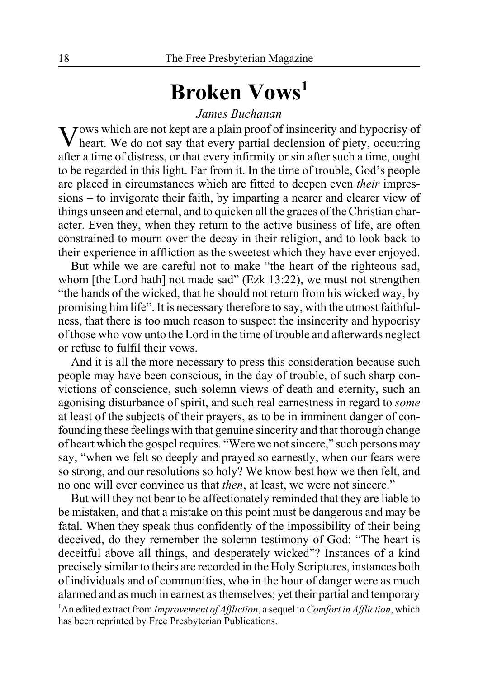# **Broken Vows1**

#### *James Buchanan*

Vows which are not kept are a plain proof of insincerity and hypocrisy of heart. We do not say that every partial declension of piety, occurring after a time of distress, or that every infirmity or sin after such a time, ought to be regarded in this light. Far from it. In the time of trouble, God's people are placed in circumstances which are fitted to deepen even *their* impressions – to invigorate their faith, by imparting a nearer and clearer view of things unseen and eternal, and to quicken all the graces of the Christian character. Even they, when they return to the active business of life, are often constrained to mourn over the decay in their religion, and to look back to their experience in affliction as the sweetest which they have ever enjoyed.

But while we are careful not to make "the heart of the righteous sad, whom [the Lord hath] not made sad" (Ezk 13:22), we must not strengthen "the hands of the wicked, that he should not return from his wicked way, by promising him life". It is necessary therefore to say, with the utmost faithfulness, that there is too much reason to suspect the insincerity and hypocrisy of those who vow unto the Lord in the time of trouble and afterwards neglect or refuse to fulfil their vows.

And it is all the more necessary to press this consideration because such people may have been conscious, in the day of trouble, of such sharp convictions of conscience, such solemn views of death and eternity, such an agonising disturbance of spirit, and such real earnestness in regard to *some* at least of the subjects of their prayers, as to be in imminent danger of confounding these feelings with that genuine sincerity and that thorough change of heart which the gospel requires. "Were we not sincere," such persons may say, "when we felt so deeply and prayed so earnestly, when our fears were so strong, and our resolutions so holy? We know best how we then felt, and no one will ever convince us that *then*, at least, we were not sincere."

But will they not bear to be affectionately reminded that they are liable to be mistaken, and that a mistake on this point must be dangerous and may be fatal. When they speak thus confidently of the impossibility of their being deceived, do they remember the solemn testimony of God: "The heart is deceitful above all things, and desperately wicked"? Instances of a kind precisely similar to theirs are recorded in the Holy Scriptures, instances both of individuals and of communities, who in the hour of danger were as much alarmed and as much in earnest as themselves; yet their partial and temporary 1 An edited extract from *Improvement of Affliction*, a sequel to *Comfort in Affliction*, which has been reprinted by Free Presbyterian Publications.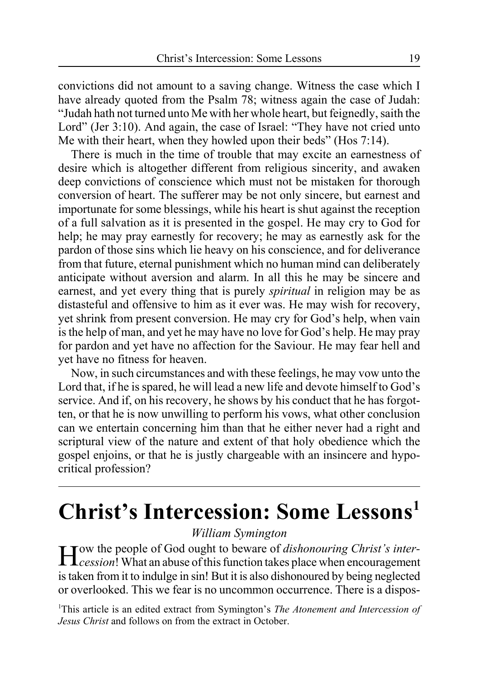convictions did not amount to a saving change. Witness the case which I have already quoted from the Psalm 78; witness again the case of Judah: "Judah hath not turned unto Me with her whole heart, but feignedly, saith the Lord" (Jer 3:10). And again, the case of Israel: "They have not cried unto Me with their heart, when they howled upon their beds" (Hos 7:14).

There is much in the time of trouble that may excite an earnestness of desire which is altogether different from religious sincerity, and awaken deep convictions of conscience which must not be mistaken for thorough conversion of heart. The sufferer may be not only sincere, but earnest and importunate for some blessings, while his heart is shut against the reception of a full salvation as it is presented in the gospel. He may cry to God for help; he may pray earnestly for recovery; he may as earnestly ask for the pardon of those sins which lie heavy on his conscience, and for deliverance from that future, eternal punishment which no human mind can deliberately anticipate without aversion and alarm. In all this he may be sincere and earnest, and yet every thing that is purely *spiritual* in religion may be as distasteful and offensive to him as it ever was. He may wish for recovery, yet shrink from present conversion. He may cry for God's help, when vain is the help of man, and yet he may have no love for God's help. He may pray for pardon and yet have no affection for the Saviour. He may fear hell and yet have no fitness for heaven.

Now, in such circumstances and with these feelings, he may vow unto the Lord that, if he is spared, he will lead a new life and devote himself to God's service. And if, on his recovery, he shows by his conduct that he has forgotten, or that he is now unwilling to perform his vows, what other conclusion can we entertain concerning him than that he either never had a right and scriptural view of the nature and extent of that holy obedience which the gospel enjoins, or that he is justly chargeable with an insincere and hypocritical profession?

# **Christ's Intercession: Some Lessons1**

### *William Symington*

How the people of God ought to beware of *dishonouring Christ's inter-cession*! What an abuse of this function takes place when encouragement is taken from it to indulge in sin! But it is also dishonoured by being neglected or overlooked. This we fear is no uncommon occurrence. There is a dispos-

1 This article is an edited extract from Symington's *The Atonement and Intercession of Jesus Christ* and follows on from the extract in October.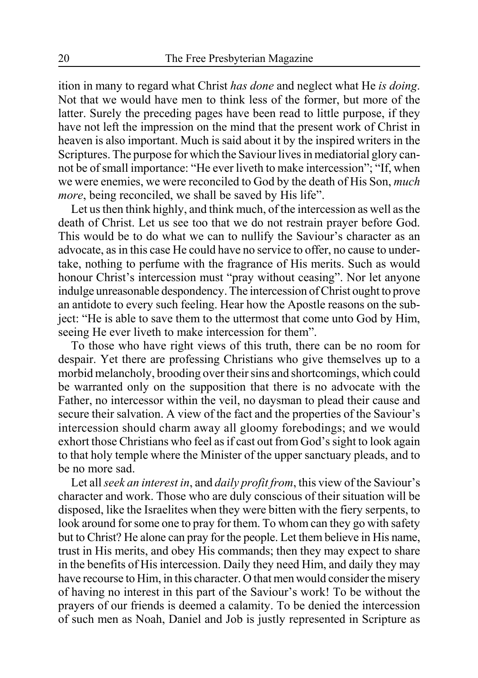ition in many to regard what Christ *has done* and neglect what He *is doing*. Not that we would have men to think less of the former, but more of the latter. Surely the preceding pages have been read to little purpose, if they have not left the impression on the mind that the present work of Christ in heaven is also important. Much is said about it by the inspired writers in the Scriptures. The purpose for which the Saviour lives in mediatorial glory cannot be of small importance: "He ever liveth to make intercession"; "If, when we were enemies, we were reconciled to God by the death of His Son, *much more*, being reconciled, we shall be saved by His life".

Let us then think highly, and think much, of the intercession as well as the death of Christ. Let us see too that we do not restrain prayer before God. This would be to do what we can to nullify the Saviour's character as an advocate, as in this case He could have no service to offer, no cause to undertake, nothing to perfume with the fragrance of His merits. Such as would honour Christ's intercession must "pray without ceasing". Nor let anyone indulge unreasonable despondency. The intercession of Christ ought to prove an antidote to every such feeling. Hear how the Apostle reasons on the subject: "He is able to save them to the uttermost that come unto God by Him, seeing He ever liveth to make intercession for them".

To those who have right views of this truth, there can be no room for despair. Yet there are professing Christians who give themselves up to a morbid melancholy, brooding over their sins and shortcomings, which could be warranted only on the supposition that there is no advocate with the Father, no intercessor within the veil, no daysman to plead their cause and secure their salvation. A view of the fact and the properties of the Saviour's intercession should charm away all gloomy forebodings; and we would exhort those Christians who feel as if cast out from God's sight to look again to that holy temple where the Minister of the upper sanctuary pleads, and to be no more sad.

Let all *seek an interest in*, and *daily profit from*, this view of the Saviour's character and work. Those who are duly conscious of their situation will be disposed, like the Israelites when they were bitten with the fiery serpents, to look around for some one to pray for them. To whom can they go with safety but to Christ? He alone can pray for the people. Let them believe in His name, trust in His merits, and obey His commands; then they may expect to share in the benefits of His intercession. Daily they need Him, and daily they may have recourse to Him, in this character. O that men would consider the misery of having no interest in this part of the Saviour's work! To be without the prayers of our friends is deemed a calamity. To be denied the intercession of such men as Noah, Daniel and Job is justly represented in Scripture as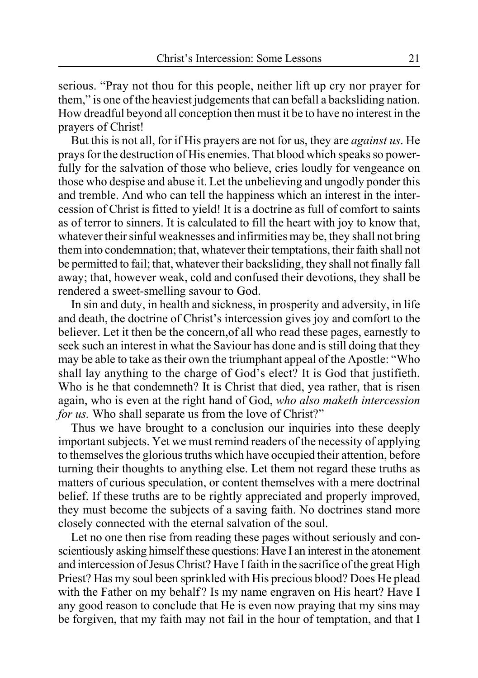serious. "Pray not thou for this people, neither lift up cry nor prayer for them," is one of the heaviest judgements that can befall a backsliding nation. How dreadful beyond all conception then must it be to have no interest in the prayers of Christ!

But this is not all, for if His prayers are not for us, they are *against us*. He prays for the destruction of His enemies. That blood which speaks so powerfully for the salvation of those who believe, cries loudly for vengeance on those who despise and abuse it. Let the unbelieving and ungodly ponder this and tremble. And who can tell the happiness which an interest in the intercession of Christ is fitted to yield! It is a doctrine as full of comfort to saints as of terror to sinners. It is calculated to fill the heart with joy to know that, whatever their sinful weaknesses and infirmities may be, they shall not bring them into condemnation; that, whatever their temptations, their faith shall not be permitted to fail; that, whatever their backsliding, they shall not finally fall away; that, however weak, cold and confused their devotions, they shall be rendered a sweet-smelling savour to God.

In sin and duty, in health and sickness, in prosperity and adversity, in life and death, the doctrine of Christ's intercession gives joy and comfort to the believer. Let it then be the concern,of all who read these pages, earnestly to seek such an interest in what the Saviour has done and is still doing that they may be able to take as their own the triumphant appeal of the Apostle: "Who shall lay anything to the charge of God's elect? It is God that justifieth. Who is he that condemneth? It is Christ that died, yea rather, that is risen again, who is even at the right hand of God, *who also maketh intercession for us.* Who shall separate us from the love of Christ?"

Thus we have brought to a conclusion our inquiries into these deeply important subjects. Yet we must remind readers of the necessity of applying to themselves the glorious truths which have occupied their attention, before turning their thoughts to anything else. Let them not regard these truths as matters of curious speculation, or content themselves with a mere doctrinal belief. If these truths are to be rightly appreciated and properly improved, they must become the subjects of a saving faith. No doctrines stand more closely connected with the eternal salvation of the soul.

Let no one then rise from reading these pages without seriously and conscientiously asking himself these questions: Have I an interest in the atonement and intercession of Jesus Christ? Have I faith in the sacrifice of the great High Priest? Has my soul been sprinkled with His precious blood? Does He plead with the Father on my behalf? Is my name engraven on His heart? Have I any good reason to conclude that He is even now praying that my sins may be forgiven, that my faith may not fail in the hour of temptation, and that I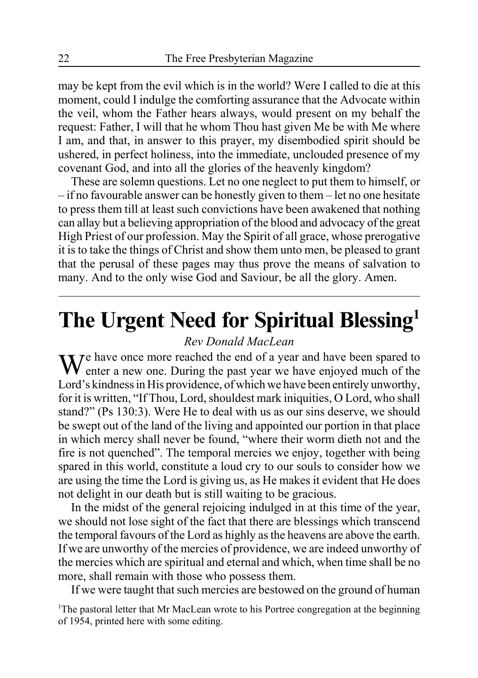may be kept from the evil which is in the world? Were I called to die at this moment, could I indulge the comforting assurance that the Advocate within the veil, whom the Father hears always, would present on my behalf the request: Father, I will that he whom Thou hast given Me be with Me where I am, and that, in answer to this prayer, my disembodied spirit should be ushered, in perfect holiness, into the immediate, unclouded presence of my covenant God, and into all the glories of the heavenly kingdom?

These are solemn questions. Let no one neglect to put them to himself, or – if no favourable answer can be honestly given to them – let no one hesitate to press them till at least such convictions have been awakened that nothing can allay but a believing appropriation of the blood and advocacy of the great High Priest of our profession. May the Spirit of all grace, whose prerogative it is to take the things of Christ and show them unto men, be pleased to grant that the perusal of these pages may thus prove the means of salvation to many. And to the only wise God and Saviour, be all the glory. Amen.

# **The Urgent Need for Spiritual Blessing1**

### *Rev Donald MacLean*

 $\mathbf{W}$   $\mathbf{V}$  are once more reached the end of a year and have been spared to enter a new one. During the past year we have enjoyed much of the Lord's kindness in His providence, of which we have been entirely unworthy, for it is written, "If Thou, Lord, shouldest mark iniquities, O Lord, who shall stand?" (Ps 130:3). Were He to deal with us as our sins deserve, we should be swept out of the land of the living and appointed our portion in that place in which mercy shall never be found, "where their worm dieth not and the fire is not quenched". The temporal mercies we enjoy, together with being spared in this world, constitute a loud cry to our souls to consider how we are using the time the Lord is giving us, as He makes it evident that He does not delight in our death but is still waiting to be gracious.

In the midst of the general rejoicing indulged in at this time of the year, we should not lose sight of the fact that there are blessings which transcend the temporal favours of the Lord as highly as the heavens are above the earth. If we are unworthy of the mercies of providence, we are indeed unworthy of the mercies which are spiritual and eternal and which, when time shall be no more, shall remain with those who possess them.

If we were taught that such mercies are bestowed on the ground of human

<sup>1</sup>The pastoral letter that Mr MacLean wrote to his Portree congregation at the beginning of 1954, printed here with some editing.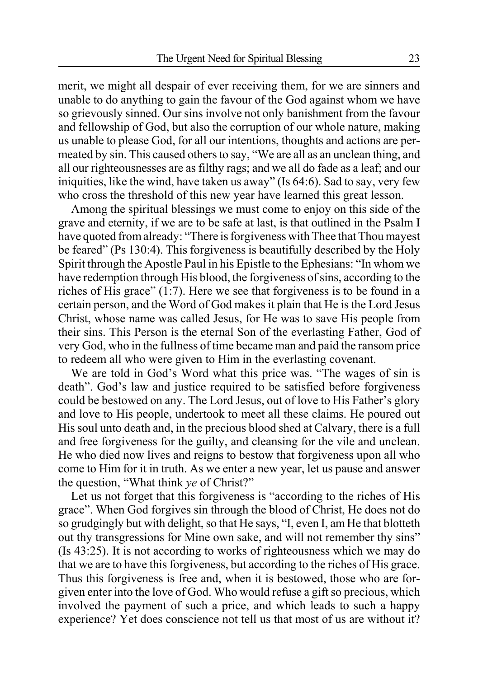merit, we might all despair of ever receiving them, for we are sinners and unable to do anything to gain the favour of the God against whom we have so grievously sinned. Our sins involve not only banishment from the favour and fellowship of God, but also the corruption of our whole nature, making us unable to please God, for all our intentions, thoughts and actions are permeated by sin. This caused others to say, "We are all as an unclean thing, and all our righteousnesses are as filthy rags; and we all do fade as a leaf; and our iniquities, like the wind, have taken us away" (Is 64:6). Sad to say, very few who cross the threshold of this new year have learned this great lesson.

Among the spiritual blessings we must come to enjoy on this side of the grave and eternity, if we are to be safe at last, is that outlined in the Psalm I have quoted from already: "There is forgiveness with Thee that Thou mayest be feared" (Ps 130:4). This forgiveness is beautifully described by the Holy Spirit through the Apostle Paul in his Epistle to the Ephesians: "In whom we have redemption through His blood, the forgiveness of sins, according to the riches of His grace" (1:7). Here we see that forgiveness is to be found in a certain person, and the Word of God makes it plain that He is the Lord Jesus Christ, whose name was called Jesus, for He was to save His people from their sins. This Person is the eternal Son of the everlasting Father, God of very God, who in the fullness of time became man and paid the ransom price to redeem all who were given to Him in the everlasting covenant.

We are told in God's Word what this price was. "The wages of sin is death". God's law and justice required to be satisfied before forgiveness could be bestowed on any. The Lord Jesus, out of love to His Father's glory and love to His people, undertook to meet all these claims. He poured out His soul unto death and, in the precious blood shed at Calvary, there is a full and free forgiveness for the guilty, and cleansing for the vile and unclean. He who died now lives and reigns to bestow that forgiveness upon all who come to Him for it in truth. As we enter a new year, let us pause and answer the question, "What think *ye* of Christ?"

Let us not forget that this forgiveness is "according to the riches of His grace". When God forgives sin through the blood of Christ, He does not do so grudgingly but with delight, so that He says, "I, even I, am He that blotteth out thy transgressions for Mine own sake, and will not remember thy sins" (Is 43:25). It is not according to works of righteousness which we may do that we are to have this forgiveness, but according to the riches of His grace. Thus this forgiveness is free and, when it is bestowed, those who are forgiven enter into the love of God. Who would refuse a gift so precious, which involved the payment of such a price, and which leads to such a happy experience? Yet does conscience not tell us that most of us are without it?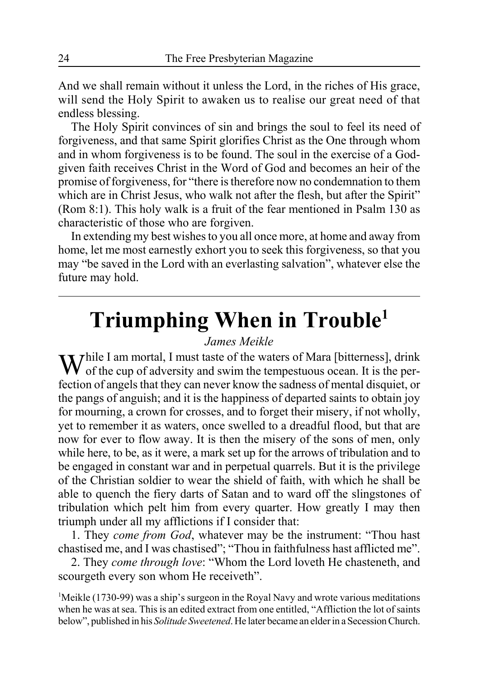And we shall remain without it unless the Lord, in the riches of His grace, will send the Holy Spirit to awaken us to realise our great need of that endless blessing.

The Holy Spirit convinces of sin and brings the soul to feel its need of forgiveness, and that same Spirit glorifies Christ as the One through whom and in whom forgiveness is to be found. The soul in the exercise of a Godgiven faith receives Christ in the Word of God and becomes an heir of the promise of forgiveness, for "there is therefore now no condemnation to them which are in Christ Jesus, who walk not after the flesh, but after the Spirit" (Rom 8:1). This holy walk is a fruit of the fear mentioned in Psalm 130 as characteristic of those who are forgiven.

In extending my best wishes to you all once more, at home and away from home, let me most earnestly exhort you to seek this forgiveness, so that you may "be saved in the Lord with an everlasting salvation", whatever else the future may hold.

# **Triumphing When in Trouble1**

### *James Meikle*

While I am mortal, I must taste of the waters of Mara [bitterness], drink of the cup of adversity and swim the tempestuous ocean. It is the perfection of angels that they can never know the sadness of mental disquiet, or the pangs of anguish; and it is the happiness of departed saints to obtain joy for mourning, a crown for crosses, and to forget their misery, if not wholly, yet to remember it as waters, once swelled to a dreadful flood, but that are now for ever to flow away. It is then the misery of the sons of men, only while here, to be, as it were, a mark set up for the arrows of tribulation and to be engaged in constant war and in perpetual quarrels. But it is the privilege of the Christian soldier to wear the shield of faith, with which he shall be able to quench the fiery darts of Satan and to ward off the slingstones of tribulation which pelt him from every quarter. How greatly I may then triumph under all my afflictions if I consider that:

1. They *come from God*, whatever may be the instrument: "Thou hast chastised me, and I was chastised"; "Thou in faithfulness hast afflicted me".

2. They *come through love*: "Whom the Lord loveth He chasteneth, and scourgeth every son whom He receiveth".

<sup>1</sup>Meikle (1730-99) was a ship's surgeon in the Royal Navy and wrote various meditations when he was at sea. This is an edited extract from one entitled, "Affliction the lot of saints below", published in his *Solitude Sweetened*. He later became an elder in a Secession Church.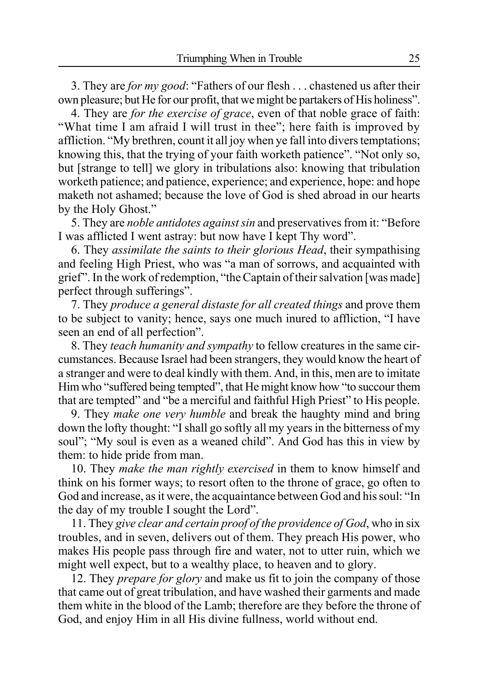3. They are *for my good*: "Fathers of our flesh . . . chastened us after their own pleasure; but He for our profit, that we might be partakers of His holiness".

4. They are *for the exercise of grace*, even of that noble grace of faith: "What time I am afraid I will trust in thee"; here faith is improved by affliction. "My brethren, count it all joy when ye fall into divers temptations; knowing this, that the trying of your faith worketh patience". "Not only so, but [strange to tell] we glory in tribulations also: knowing that tribulation worketh patience; and patience, experience; and experience, hope: and hope maketh not ashamed; because the love of God is shed abroad in our hearts by the Holy Ghost."

5. They are *noble antidotes against sin* and preservatives from it: "Before I was afflicted I went astray: but now have I kept Thy word".

6. They *assimilate the saints to their glorious Head*, their sympathising and feeling High Priest, who was "a man of sorrows, and acquainted with grief". In the work of redemption, "the Captain of their salvation [was made] perfect through sufferings".

7. They *produce a general distaste for all created things* and prove them to be subject to vanity; hence, says one much inured to affliction, "I have seen an end of all perfection".

8. They *teach humanity and sympathy* to fellow creatures in the same circumstances. Because Israel had been strangers, they would know the heart of a stranger and were to deal kindly with them. And, in this, men are to imitate Him who "suffered being tempted", that He might know how "to succour them that are tempted" and "be a merciful and faithful High Priest" to His people.

9. They *make one very humble* and break the haughty mind and bring down the lofty thought: "I shall go softly all my years in the bitterness of my soul"; "My soul is even as a weaned child". And God has this in view by them: to hide pride from man.

10. They *make the man rightly exercised* in them to know himself and think on his former ways; to resort often to the throne of grace, go often to God and increase, as it were, the acquaintance between God and his soul: "In the day of my trouble I sought the Lord".

11. They *give clear and certain proof of the providence of God*, who in six troubles, and in seven, delivers out of them. They preach His power, who makes His people pass through fire and water, not to utter ruin, which we might well expect, but to a wealthy place, to heaven and to glory.

12. They *prepare for glory* and make us fit to join the company of those that came out of great tribulation, and have washed their garments and made them white in the blood of the Lamb; therefore are they before the throne of God, and enjoy Him in all His divine fullness, world without end.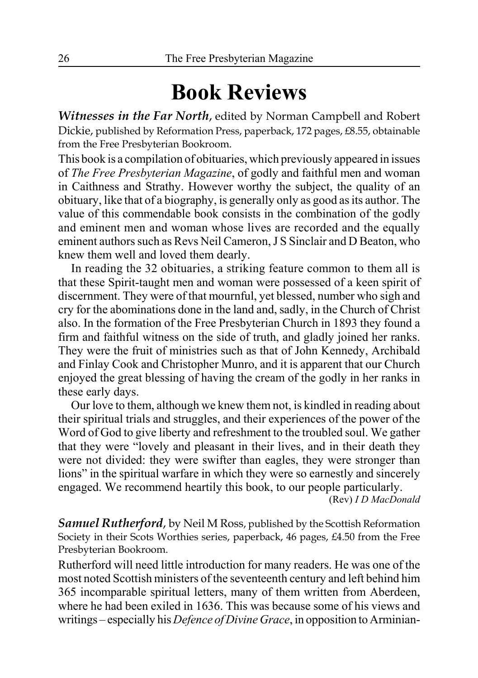# **Book Reviews**

*Witnesses in the Far North*, edited by Norman Campbell and Robert Dickie, published by Reformation Press, paperback, 172 pages, £8.55, obtainable from the Free Presbyterian Bookroom.

This book is a compilation of obituaries, which previously appeared in issues of *The Free Presbyterian Magazine*, of godly and faithful men and woman in Caithness and Strathy. However worthy the subject, the quality of an obituary, like that of a biography, is generally only as good as its author. The value of this commendable book consists in the combination of the godly and eminent men and woman whose lives are recorded and the equally eminent authors such as Revs Neil Cameron, J S Sinclair and D Beaton, who knew them well and loved them dearly.

In reading the 32 obituaries, a striking feature common to them all is that these Spirit-taught men and woman were possessed of a keen spirit of discernment. They were of that mournful, yet blessed, number who sigh and cry for the abominations done in the land and, sadly, in the Church of Christ also. In the formation of the Free Presbyterian Church in 1893 they found a firm and faithful witness on the side of truth, and gladly joined her ranks. They were the fruit of ministries such as that of John Kennedy, Archibald and Finlay Cook and Christopher Munro, and it is apparent that our Church enjoyed the great blessing of having the cream of the godly in her ranks in these early days.

Our love to them, although we knew them not, is kindled in reading about their spiritual trials and struggles, and their experiences of the power of the Word of God to give liberty and refreshment to the troubled soul. We gather that they were "lovely and pleasant in their lives, and in their death they were not divided: they were swifter than eagles, they were stronger than lions" in the spiritual warfare in which they were so earnestly and sincerely engaged. We recommend heartily this book, to our people particularly.

(Rev) *I D MacDonald*

*Samuel Rutherford*, by Neil M Ross, published by the Scottish Reformation Society in their Scots Worthies series, paperback, 46 pages, £4.50 from the Free Presbyterian Bookroom.

Rutherford will need little introduction for many readers. He was one of the most noted Scottish ministers of the seventeenth century and left behind him 365 incomparable spiritual letters, many of them written from Aberdeen, where he had been exiled in 1636. This was because some of his views and writings – especially his *Defence of Divine Grace*, in opposition to Arminian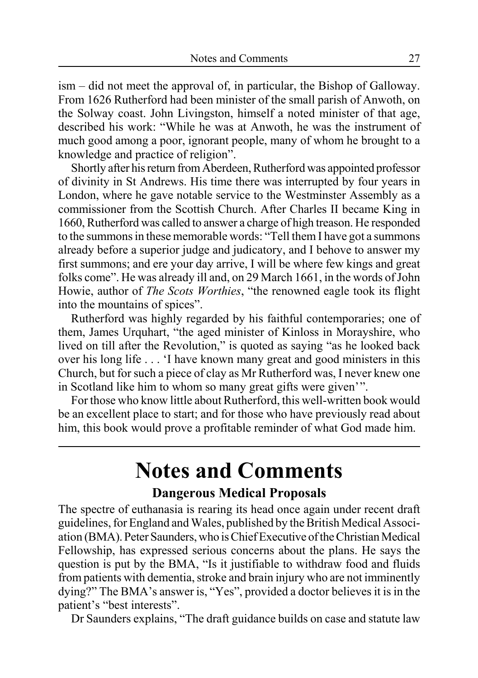ism – did not meet the approval of, in particular, the Bishop of Galloway. From 1626 Rutherford had been minister of the small parish of Anwoth, on the Solway coast. John Livingston, himself a noted minister of that age, described his work: "While he was at Anwoth, he was the instrument of much good among a poor, ignorant people, many of whom he brought to a knowledge and practice of religion".

Shortly after his return from Aberdeen, Rutherford was appointed professor of divinity in St Andrews. His time there was interrupted by four years in London, where he gave notable service to the Westminster Assembly as a commissioner from the Scottish Church. After Charles II became King in 1660, Rutherford was called to answer a charge of high treason. He responded to the summons in these memorable words: "Tell them I have got a summons already before a superior judge and judicatory, and I behove to answer my first summons; and ere your day arrive, I will be where few kings and great folks come". He was already ill and, on 29 March 1661, in the words of John Howie, author of *The Scots Worthies*, "the renowned eagle took its flight into the mountains of spices".

Rutherford was highly regarded by his faithful contemporaries; one of them, James Urquhart, "the aged minister of Kinloss in Morayshire, who lived on till after the Revolution," is quoted as saying "as he looked back over his long life . . . 'I have known many great and good ministers in this Church, but for such a piece of clay as Mr Rutherford was, I never knew one in Scotland like him to whom so many great gifts were given'".

For those who know little about Rutherford, this well-written book would be an excellent place to start; and for those who have previously read about him, this book would prove a profitable reminder of what God made him.

# **Notes and Comments**

### **Dangerous Medical Proposals**

The spectre of euthanasia is rearing its head once again under recent draft guidelines, for England and Wales, published by the British Medical Association (BMA). Peter Saunders, who is Chief Executive of the Christian Medical Fellowship, has expressed serious concerns about the plans. He says the question is put by the BMA, "Is it justifiable to withdraw food and fluids from patients with dementia, stroke and brain injury who are not imminently dying?" The BMA's answer is, "Yes", provided a doctor believes it is in the patient's "best interests".

Dr Saunders explains, "The draft guidance builds on case and statute law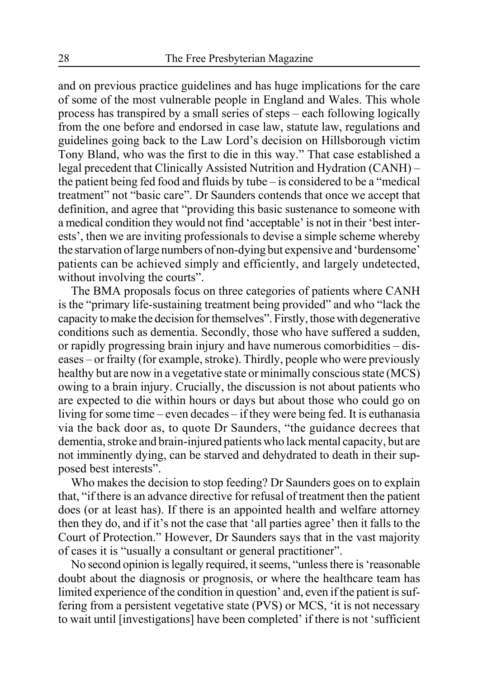and on previous practice guidelines and has huge implications for the care of some of the most vulnerable people in England and Wales. This whole process has transpired by a small series of steps – each following logically from the one before and endorsed in case law, statute law, regulations and guidelines going back to the Law Lord's decision on Hillsborough victim Tony Bland, who was the first to die in this way." That case established a legal precedent that Clinically Assisted Nutrition and Hydration (CANH) – the patient being fed food and fluids by tube – is considered to be a "medical treatment" not "basic care". Dr Saunders contends that once we accept that definition, and agree that "providing this basic sustenance to someone with a medical condition they would not find 'acceptable' is not in their 'best interests', then we are inviting professionals to devise a simple scheme whereby the starvation of large numbers of non-dying but expensive and 'burdensome' patients can be achieved simply and efficiently, and largely undetected, without involving the courts".

The BMA proposals focus on three categories of patients where CANH is the "primary life-sustaining treatment being provided" and who "lack the capacity to make the decision for themselves". Firstly, those with degenerative conditions such as dementia. Secondly, those who have suffered a sudden, or rapidly progressing brain injury and have numerous comorbidities – diseases – or frailty (for example, stroke). Thirdly, people who were previously healthy but are now in a vegetative state or minimally conscious state (MCS) owing to a brain injury. Crucially, the discussion is not about patients who are expected to die within hours or days but about those who could go on living for some time – even decades – if they were being fed. It is euthanasia via the back door as, to quote Dr Saunders, "the guidance decrees that dementia, stroke and brain-injured patients who lack mental capacity, but are not imminently dying, can be starved and dehydrated to death in their supposed best interests".

Who makes the decision to stop feeding? Dr Saunders goes on to explain that, "if there is an advance directive for refusal of treatment then the patient does (or at least has). If there is an appointed health and welfare attorney then they do, and if it's not the case that 'all parties agree' then it falls to the Court of Protection." However, Dr Saunders says that in the vast majority of cases it is "usually a consultant or general practitioner".

No second opinion is legally required, it seems, "unless there is 'reasonable doubt about the diagnosis or prognosis, or where the healthcare team has limited experience of the condition in question' and, even if the patient is suffering from a persistent vegetative state (PVS) or MCS, 'it is not necessary to wait until [investigations] have been completed' if there is not 'sufficient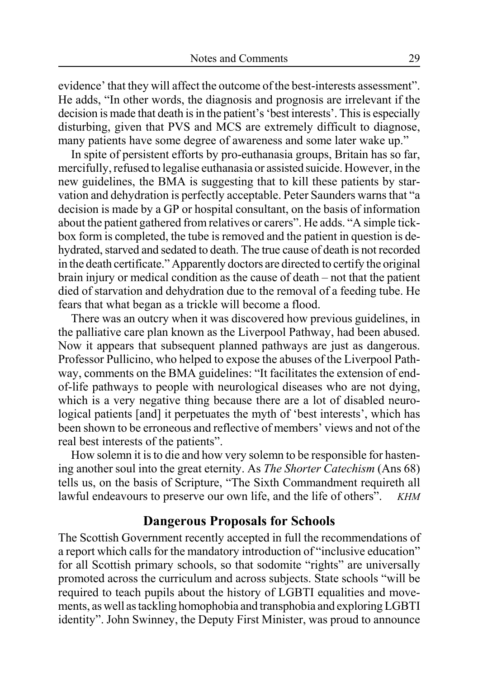evidence' that they will affect the outcome of the best-interests assessment". He adds, "In other words, the diagnosis and prognosis are irrelevant if the decision is made that death is in the patient's 'best interests'. This is especially disturbing, given that PVS and MCS are extremely difficult to diagnose, many patients have some degree of awareness and some later wake up."

In spite of persistent efforts by pro-euthanasia groups, Britain has so far, mercifully, refused to legalise euthanasia or assisted suicide. However, in the new guidelines, the BMA is suggesting that to kill these patients by starvation and dehydration is perfectly acceptable. Peter Saunders warns that "a decision is made by a GP or hospital consultant, on the basis of information about the patient gathered from relatives or carers". He adds. "A simple tickbox form is completed, the tube is removed and the patient in question is dehydrated, starved and sedated to death. The true cause of death is not recorded in the death certificate." Apparently doctors are directed to certify the original brain injury or medical condition as the cause of death – not that the patient died of starvation and dehydration due to the removal of a feeding tube. He fears that what began as a trickle will become a flood.

There was an outcry when it was discovered how previous guidelines, in the palliative care plan known as the Liverpool Pathway, had been abused. Now it appears that subsequent planned pathways are just as dangerous. Professor Pullicino, who helped to expose the abuses of the Liverpool Pathway, comments on the BMA guidelines: "It facilitates the extension of endof-life pathways to people with neurological diseases who are not dying, which is a very negative thing because there are a lot of disabled neurological patients [and] it perpetuates the myth of 'best interests', which has been shown to be erroneous and reflective of members' views and not of the real best interests of the patients".

How solemn it is to die and how very solemn to be responsible for hastening another soul into the great eternity. As *The Shorter Catechism* (Ans 68) tells us, on the basis of Scripture, "The Sixth Commandment requireth all lawful endeavours to preserve our own life, and the life of others". *KHM*

### **Dangerous Proposals for Schools**

The Scottish Government recently accepted in full the recommendations of a report which calls for the mandatory introduction of "inclusive education" for all Scottish primary schools, so that sodomite "rights" are universally promoted across the curriculum and across subjects. State schools "will be required to teach pupils about the history of LGBTI equalities and movements, as well as tackling homophobia and transphobia and exploring LGBTI identity". John Swinney, the Deputy First Minister, was proud to announce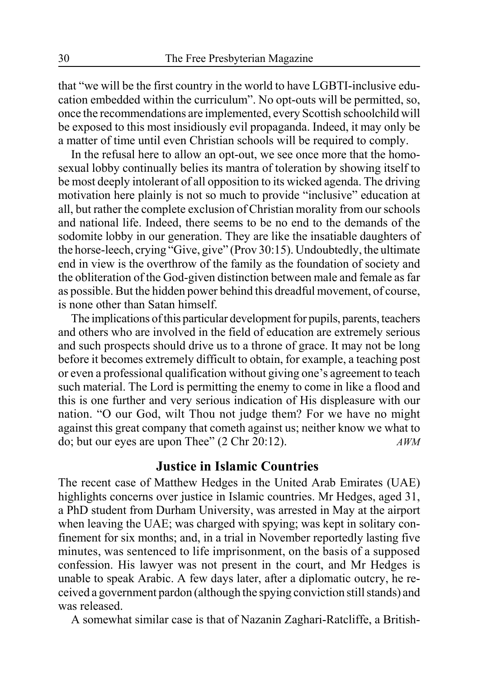that "we will be the first country in the world to have LGBTI-inclusive education embedded within the curriculum". No opt-outs will be permitted, so, once the recommendations are implemented, every Scottish schoolchild will be exposed to this most insidiously evil propaganda. Indeed, it may only be a matter of time until even Christian schools will be required to comply.

In the refusal here to allow an opt-out, we see once more that the homosexual lobby continually belies its mantra of toleration by showing itself to be most deeply intolerant of all opposition to its wicked agenda. The driving motivation here plainly is not so much to provide "inclusive" education at all, but rather the complete exclusion of Christian morality from our schools and national life. Indeed, there seems to be no end to the demands of the sodomite lobby in our generation. They are like the insatiable daughters of the horse-leech, crying "Give, give" (Prov 30:15). Undoubtedly, the ultimate end in view is the overthrow of the family as the foundation of society and the obliteration of the God-given distinction between male and female as far as possible. But the hidden power behind this dreadful movement, of course, is none other than Satan himself.

The implications of this particular development for pupils, parents, teachers and others who are involved in the field of education are extremely serious and such prospects should drive us to a throne of grace. It may not be long before it becomes extremely difficult to obtain, for example, a teaching post or even a professional qualification without giving one's agreement to teach such material. The Lord is permitting the enemy to come in like a flood and this is one further and very serious indication of His displeasure with our nation. "O our God, wilt Thou not judge them? For we have no might against this great company that cometh against us; neither know we what to do; but our eyes are upon Thee" (2 Chr 20:12). *AWM*

### **Justice in Islamic Countries**

The recent case of Matthew Hedges in the United Arab Emirates (UAE) highlights concerns over justice in Islamic countries. Mr Hedges, aged 31, a PhD student from Durham University, was arrested in May at the airport when leaving the UAE; was charged with spying; was kept in solitary confinement for six months; and, in a trial in November reportedly lasting five minutes, was sentenced to life imprisonment, on the basis of a supposed confession. His lawyer was not present in the court, and Mr Hedges is unable to speak Arabic. A few days later, after a diplomatic outcry, he received a government pardon (although the spying conviction still stands) and was released.

A somewhat similar case is that of Nazanin Zaghari-Ratcliffe, a British-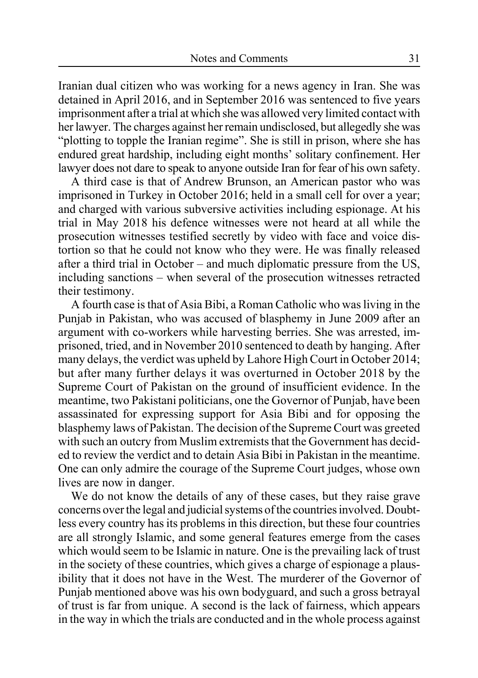Iranian dual citizen who was working for a news agency in Iran. She was detained in April 2016, and in September 2016 was sentenced to five years imprisonment after a trial at which she was allowed very limited contact with her lawyer. The charges against her remain undisclosed, but allegedly she was "plotting to topple the Iranian regime". She is still in prison, where she has endured great hardship, including eight months' solitary confinement. Her lawyer does not dare to speak to anyone outside Iran for fear of his own safety.

A third case is that of Andrew Brunson, an American pastor who was imprisoned in Turkey in October 2016; held in a small cell for over a year; and charged with various subversive activities including espionage. At his trial in May 2018 his defence witnesses were not heard at all while the prosecution witnesses testified secretly by video with face and voice distortion so that he could not know who they were. He was finally released after a third trial in October – and much diplomatic pressure from the US, including sanctions – when several of the prosecution witnesses retracted their testimony.

A fourth case is that of Asia Bibi, a Roman Catholic who was living in the Punjab in Pakistan, who was accused of blasphemy in June 2009 after an argument with co-workers while harvesting berries. She was arrested, imprisoned, tried, and in November 2010 sentenced to death by hanging. After many delays, the verdict was upheld by Lahore High Court in October 2014; but after many further delays it was overturned in October 2018 by the Supreme Court of Pakistan on the ground of insufficient evidence. In the meantime, two Pakistani politicians, one the Governor of Punjab, have been assassinated for expressing support for Asia Bibi and for opposing the blasphemy laws of Pakistan. The decision of the Supreme Court was greeted with such an outcry from Muslim extremists that the Government has decided to review the verdict and to detain Asia Bibi in Pakistan in the meantime. One can only admire the courage of the Supreme Court judges, whose own lives are now in danger.

We do not know the details of any of these cases, but they raise grave concerns over the legal and judicial systems of the countries involved. Doubtless every country has its problems in this direction, but these four countries are all strongly Islamic, and some general features emerge from the cases which would seem to be Islamic in nature. One is the prevailing lack of trust in the society of these countries, which gives a charge of espionage a plausibility that it does not have in the West. The murderer of the Governor of Punjab mentioned above was his own bodyguard, and such a gross betrayal of trust is far from unique. A second is the lack of fairness, which appears in the way in which the trials are conducted and in the whole process against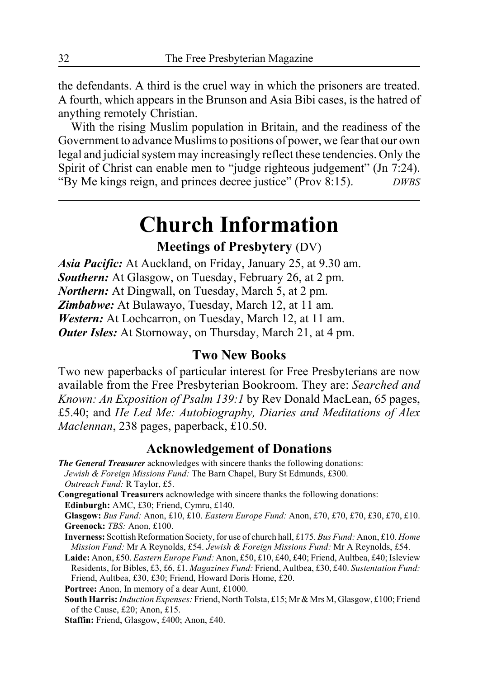the defendants. A third is the cruel way in which the prisoners are treated. A fourth, which appears in the Brunson and Asia Bibi cases, is the hatred of anything remotely Christian.

With the rising Muslim population in Britain, and the readiness of the Government to advance Muslims to positions of power, we fear that our own legal and judicial system may increasingly reflect these tendencies. Only the Spirit of Christ can enable men to "judge righteous judgement" (Jn 7:24). "By Me kings reign, and princes decree justice" (Prov 8:15). *DWBS*

# **Church Information**

### **Meetings of Presbytery** (DV)

*Asia Pacific:* At Auckland, on Friday, January 25, at 9.30 am. *Southern:* At Glasgow, on Tuesday, February 26, at 2 pm. *Northern:* At Dingwall, on Tuesday, March 5, at 2 pm. *Zimbabwe:* At Bulawayo, Tuesday, March 12, at 11 am. *Western:* At Lochcarron, on Tuesday, March 12, at 11 am. *Outer Isles:* At Stornoway, on Thursday, March 21, at 4 pm.

### **Two New Books**

Two new paperbacks of particular interest for Free Presbyterians are now available from the Free Presbyterian Bookroom. They are: *Searched and Known: An Exposition of Psalm 139:1* by Rev Donald MacLean, 65 pages, £5.40; and *He Led Me: Autobiography, Diaries and Meditations of Alex Maclennan*, 238 pages, paperback, £10.50.

### **Acknowledgement of Donations**

*The General Treasurer* acknowledges with sincere thanks the following donations: *Jewish & Foreign Missions Fund:* The Barn Chapel, Bury St Edmunds, £300. *Outreach Fund:* R Taylor, £5.

**Congregational Treasurers** acknowledge with sincere thanks the following donations: **Edinburgh:** AMC, £30; Friend, Cymru, £140.

**Glasgow:** *Bus Fund:* Anon, £10, £10. *Eastern Europe Fund:* Anon, £70, £70, £70, £30, £70, £10. **Greenock:** *TBS:* Anon, £100.

**Inverness:** Scottish Reformation Society, for use of church hall, £175. *Bus Fund:* Anon, £10. *Home Mission Fund:* Mr A Reynolds, £54. *Jewish & Foreign Missions Fund:* Mr A Reynolds, £54.

**Laide:** Anon, £50. *Eastern Europe Fund:* Anon, £50, £10, £40, £40; Friend, Aultbea, £40; Isleview Residents, for Bibles, £3, £6, £1. *Magazines Fund:* Friend, Aultbea, £30, £40. *Sustentation Fund:* Friend, Aultbea, £30, £30; Friend, Howard Doris Home, £20.

Portree: Anon, In memory of a dear Aunt, £1000.

**South Harris:** *Induction Expenses:* Friend, North Tolsta, £15; Mr & Mrs M, Glasgow, £100; Friend of the Cause, £20; Anon, £15.

**Staffin:** Friend, Glasgow, £400; Anon, £40.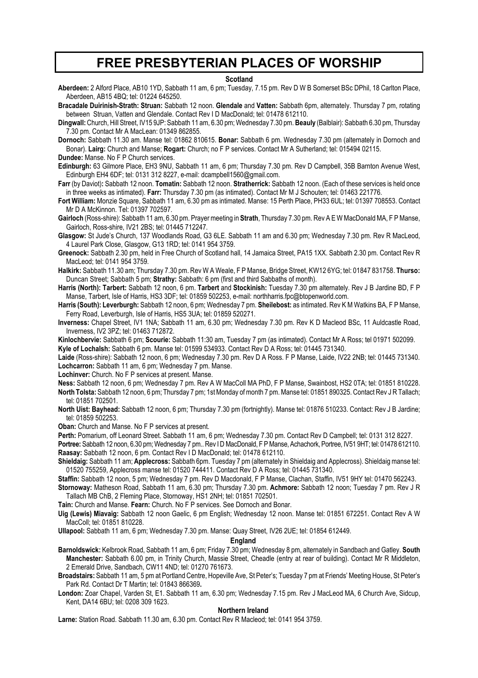### **FREE PRESBYTERIAN PLACES OF WORSHIP**

#### **Scotland**

**Aberdeen:** 2 Alford Place, AB10 1YD, Sabbath 11 am, 6 pm; Tuesday, 7.15 pm. Rev D W B Somerset BSc DPhil, 18 Carlton Place, Aberdeen, AB15 4BQ; tel: 01224 645250.

**Bracadale Duirinish-Strath: Struan:** Sabbath 12 noon. **Glendale** and **Vatten:** Sabbath 6pm, alternately. Thursday 7 pm, rotating between Struan, Vatten and Glendale. Contact Rev I D MacDonald; tel: 01478 612110.

**Dingwall:** Church, Hill Street, IV15 9JP: Sabbath 11 am, 6.30 pm; Wednesday 7.30 pm. **Beauly** (Balblair): Sabbath 6.30 pm, Thursday 7.30 pm. Contact Mr A MacLean: 01349 862855.

**Dornoch:** Sabbath 11.30 am. Manse tel: 01862 810615. **Bonar:** Sabbath 6 pm. Wednesday 7.30 pm (alternately in Dornoch and Bonar). **Lairg:** Church and Manse; **Rogart:** Church; no F P services. Contact Mr A Sutherland; tel: 015494 02115.

**Dundee:** Manse. No F P Church services.

**Edinburgh:** 63 Gilmore Place, EH3 9NU, Sabbath 11 am, 6 pm; Thursday 7.30 pm. Rev D Campbell, 35B Barnton Avenue West, Edinburgh EH4 6DF; tel: 0131 312 8227, e-mail: dcampbell1560@gmail.com.

**Farr** (by Daviot)**:** Sabbath 12 noon. **Tomatin:** Sabbath 12 noon. **Stratherrick:** Sabbath 12 noon. (Each of these services is held once in three weeks as intimated). **Farr:** Thursday 7.30 pm (as intimated). Contact Mr M J Schouten; tel: 01463 221776.

**Fort William:** Monzie Square, Sabbath 11 am, 6.30 pm as intimated. Manse: 15 Perth Place, PH33 6UL; tel: 01397 708553. Contact Mr D A McKinnon. Tel: 01397 702597.

**Gairloch** (Ross-shire): Sabbath 11 am, 6.30 pm. Prayer meeting in **Strath**, Thursday 7.30 pm. Rev A E W MacDonald MA, F P Manse, Gairloch, Ross-shire, IV21 2BS; tel: 01445 712247.

**Glasgow:** St Jude's Church, 137 Woodlands Road, G3 6LE. Sabbath 11 am and 6.30 pm; Wednesday 7.30 pm. Rev R MacLeod, 4 Laurel Park Close, Glasgow, G13 1RD; tel: 0141 954 3759.

**Greenock:** Sabbath 2.30 pm, held in Free Church of Scotland hall, 14 Jamaica Street, PA15 1XX. Sabbath 2.30 pm. Contact Rev R MacLeod; tel: 0141 954 3759.

**Halkirk:** Sabbath 11.30 am; Thursday 7.30 pm. Rev W A Weale, F P Manse, Bridge Street, KW12 6YG; tel: 01847 831758. **Thurso:** Duncan Street; Sabbath 5 pm; **Strathy:** Sabbath: 6 pm (first and third Sabbaths of month).

**Harris (North): Tarbert:** Sabbath 12 noon, 6 pm. **Tarbert** and **Stockinish:** Tuesday 7.30 pm alternately. Rev J B Jardine BD, F P Manse, Tarbert, Isle of Harris, HS3 3DF; tel: 01859 502253, e-mail: northharris.fpc@btopenworld.com.

**Harris (South): Leverburgh:** Sabbath 12 noon, 6 pm; Wednesday 7 pm. **Sheilebost:** as intimated. Rev K M Watkins BA, F P Manse, Ferry Road, Leverburgh, Isle of Harris, HS5 3UA; tel: 01859 520271.

**Inverness:** Chapel Street, IV1 1NA; Sabbath 11 am, 6.30 pm; Wednesday 7.30 pm. Rev K D Macleod BSc, 11 Auldcastle Road, Inverness, IV2 3PZ; tel: 01463 712872.

**Kinlochbervie:** Sabbath 6 pm; **Scourie:** Sabbath 11:30 am, Tuesday 7 pm (as intimated). Contact Mr A Ross; tel 01971 502099. **Kyle of Lochalsh:** Sabbath 6 pm. Manse tel: 01599 534933. Contact Rev D A Ross; tel: 01445 731340.

**Laide** (Ross-shire): Sabbath 12 noon, 6 pm; Wednesday 7.30 pm. Rev D A Ross. F P Manse, Laide, IV22 2NB; tel: 01445 731340. **Lochcarron:** Sabbath 11 am, 6 pm; Wednesday 7 pm. Manse.

**Lochinver:** Church. No F P services at present. Manse.

**Ness:** Sabbath 12 noon, 6 pm; Wednesday 7 pm. Rev A W MacColl MA PhD, F P Manse, Swainbost, HS2 0TA; tel: 01851 810228. **North Tolsta:** Sabbath 12 noon, 6 pm; Thursday 7 pm; 1st Monday of month 7 pm. Manse tel: 01851 890325. Contact Rev J R Tallach; tel: 01851 702501.

**North Uist: Bayhead:** Sabbath 12 noon, 6 pm; Thursday 7.30 pm (fortnightly). Manse tel: 01876 510233. Contact: Rev J B Jardine; tel: 01859 502253.

**Oban:** Church and Manse. No F P services at present.

**Perth:** Pomarium, off Leonard Street. Sabbath 11 am, 6 pm; Wednesday 7.30 pm. Contact Rev D Campbell; tel: 0131 312 8227.

**Portree:** Sabbath 12 noon, 6.30 pm; Wednesday 7 pm.. Rev I D MacDonald, F P Manse, Achachork, Portree, IV51 9HT; tel: 01478 612110. **Raasay:** Sabbath 12 noon, 6 pm. Contact Rev I D MacDonald; tel: 01478 612110.

**Shieldaig:** Sabbath 11 am; **Applecross:** Sabbath 6pm. Tuesday 7 pm (alternately in Shieldaig and Applecross). Shieldaig manse tel: 01520 755259, Applecross manse tel: 01520 744411. Contact Rev D A Ross; tel: 01445 731340.

**Staffin:** Sabbath 12 noon, 5 pm; Wednesday 7 pm. Rev D Macdonald, F P Manse, Clachan, Staffin, IV51 9HY tel: 01470 562243. **Stornoway:** Matheson Road, Sabbath 11 am, 6.30 pm; Thursday 7.30 pm. **Achmore:** Sabbath 12 noon; Tuesday 7 pm. Rev J R

Tallach MB ChB, 2 Fleming Place, Stornoway, HS1 2NH; tel: 01851 702501.

**Tain:** Church and Manse. **Fearn:** Church. No F P services. See Dornoch and Bonar.

**Uig (Lewis) Miavaig:** Sabbath 12 noon Gaelic, 6 pm English; Wednesday 12 noon. Manse tel: 01851 672251. Contact Rev A W MacColl; tel: 01851 810228.

**Ullapool:** Sabbath 11 am, 6 pm; Wednesday 7.30 pm. Manse: Quay Street, IV26 2UE; tel: 01854 612449.

#### **England**

**Barnoldswick:** Kelbrook Road, Sabbath 11 am, 6 pm; Friday 7.30 pm; Wednesday 8 pm, alternately in Sandbach and Gatley. **South Manchester:** Sabbath 6.00 pm, in Trinity Church, Massie Street, Cheadle (entry at rear of building). Contact Mr R Middleton, 2 Emerald Drive, Sandbach, CW11 4ND; tel: 01270 761673.

**Broadstairs:** Sabbath 11 am, 5 pm at Portland Centre, Hopeville Ave, St Peter's; Tuesday 7 pm at Friends' Meeting House, St Peter's Park Rd. Contact Dr T Martin; tel: 01843 866369**.**

**London:** Zoar Chapel, Varden St, E1. Sabbath 11 am, 6.30 pm; Wednesday 7.15 pm. Rev J MacLeod MA, 6 Church Ave, Sidcup, Kent, DA14 6BU; tel: 0208 309 1623.

#### **Northern Ireland**

**Larne:** Station Road. Sabbath 11.30 am, 6.30 pm. Contact Rev R Macleod; tel: 0141 954 3759.